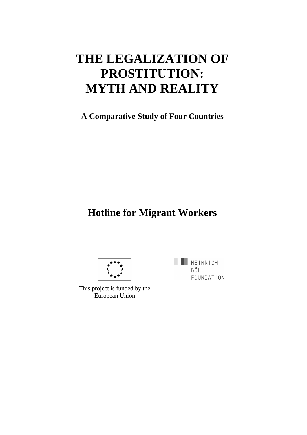# **THE LEGALIZATION OF PROSTITUTION: MYTH AND REALITY**

**A Comparative Study of Four Countries** 

## **Hotline for Migrant Workers**



This project is funded by the European Union

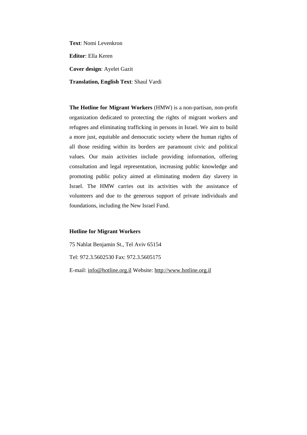**Text**: Nomi Levenkron

**Editor**: Ella Keren

**Cover design**: Ayelet Gazit

**Translation, English Text**: Shaul Vardi

**The Hotline for Migrant Workers** (HMW) is a non-partisan, non-profit organization dedicated to protecting the rights of migrant workers and refugees and eliminating trafficking in persons in Israel. We aim to build a more just, equitable and democratic society where the human rights of all those residing within its borders are paramount civic and political values. Our main activities include providing information, offering consultation and legal representation, increasing public knowledge and promoting public policy aimed at eliminating modern day slavery in Israel. The HMW carries out its activities with the assistance of volunteers and due to the generous support of private individuals and foundations, including the New Israel Fund.

#### **Hotline for Migrant Workers**

75 Nahlat Benjamin St., Tel Aviv 65154

Tel: 972.3.5602530 Fax: 972.3.5605175

E-mail: info@hotline.org.il Website: http://www.hotline.org.il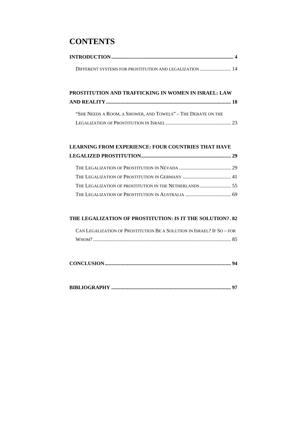### **CONTENTS**

#### **PROSTITUTION AND TRAFFICKING IN WOMEN IN ISRAEL: LAW**

| "SHE NEEDS A ROOM, A SHOWER, AND TOWELS" - THE DEBATE ON THE |
|--------------------------------------------------------------|
|                                                              |

#### **LEARNING FROM EXPERIENCE: FOUR COUNTRIES THAT HAVE**

#### **THE LEGALIZATION OF PROSTITUTION: IS IT THE SOLUTION?. 82**

| CAN LEGALIZATION OF PROSTITUTION BE A SOLUTION IN ISRAEL? IF SO – FOR |  |
|-----------------------------------------------------------------------|--|
|                                                                       |  |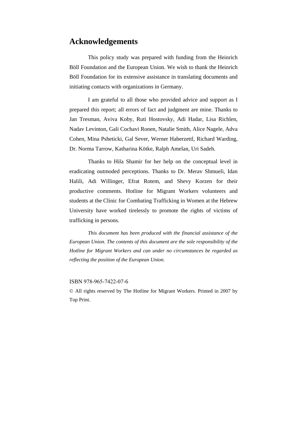### **Acknowledgements**

This policy study was prepared with funding from the Heinrich Böll Foundation and the European Union. We wish to thank the Heinrich Böll Foundation for its extensive assistance in translating documents and initiating contacts with organizations in Germany.

I am grateful to all those who provided advice and support as I prepared this report; all errors of fact and judgment are mine. Thanks to Jan Tresman, Aviva Koby, Ruti Hostovsky, Adi Hadar, Lisa Richlen, Nadav Levinton, Gali Cochavi Ronen, Natalie Smith, Alice Nagele, Adva Cohen, Mina Psheticki, Gal Sever, Werner Haberzettl, Richard Warding, Dr. Norma Tarrow, Katharina Kötke, Ralph Amelan, Uri Sadeh.

Thanks to Hila Shamir for her help on the conceptual level in eradicating outmoded perceptions. Thanks to Dr. Merav Shmueli, Idan Halili, Adi Willinger, Efrat Rotem, and Shevy Korzen for their productive comments. Hotline for Migrant Workers volunteers and students at the Clinic for Combating Trafficking in Women at the Hebrew University have worked tirelessly to promote the rights of victims of trafficking in persons.

*This document has been produced with the financial assistance of the European Union. The contents of this document are the sole responsibility of the Hotline for Migrant Workers and can under no circumstances be regarded as reflecting the position of the European Union.* 

#### ISBN 978-965-7422-07-6

© All rights reserved by The Hotline for Migrant Workers. Printed in 2007 by Top Print.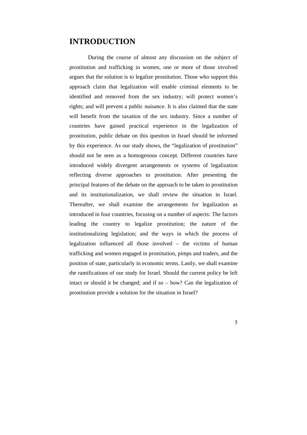### **INTRODUCTION**

During the course of almost any discussion on the subject of prostitution and trafficking in women, one or more of those involved argues that the solution is to legalize prostitution. Those who support this approach claim that legalization will enable criminal elements to be identified and removed from the sex industry; will protect women's rights; and will prevent a public nuisance. It is also claimed that the state will benefit from the taxation of the sex industry. Since a number of countries have gained practical experience in the legalization of prostitution, public debate on this question in Israel should be informed by this experience. As our study shows, the "legalization of prostitution" should not be seen as a homogenous concept. Different countries have introduced widely divergent arrangements or systems of legalization reflecting diverse approaches to prostitution. After presenting the principal features of the debate on the approach to be taken to prostitution and its institutionalization, we shall review the situation in Israel. Thereafter, we shall examine the arrangements for legalization as introduced in four countries, focusing on a number of aspects: The factors leading the country to legalize prostitution; the nature of the institutionalizing legislation; and the ways in which the process of legalization influenced all those involved – the victims of human trafficking and women engaged in prostitution, pimps and traders, and the position of state, particularly in economic terms. Lastly, we shall examine the ramifications of our study for Israel. Should the current policy be left intact or should it be changed; and if so – how? Can the legalization of prostitution provide a solution for the situation in Israel?

5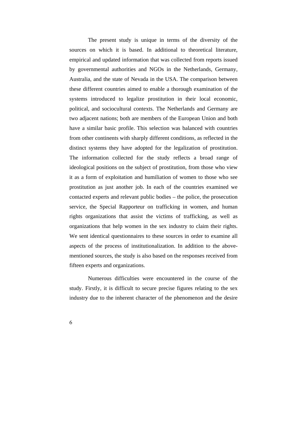The present study is unique in terms of the diversity of the sources on which it is based. In additional to theoretical literature, empirical and updated information that was collected from reports issued by governmental authorities and NGOs in the Netherlands, Germany, Australia, and the state of Nevada in the USA. The comparison between these different countries aimed to enable a thorough examination of the systems introduced to legalize prostitution in their local economic, political, and sociocultural contexts. The Netherlands and Germany are two adjacent nations; both are members of the European Union and both have a similar basic profile. This selection was balanced with countries from other continents with sharply different conditions, as reflected in the distinct systems they have adopted for the legalization of prostitution. The information collected for the study reflects a broad range of ideological positions on the subject of prostitution, from those who view it as a form of exploitation and humiliation of women to those who see prostitution as just another job. In each of the countries examined we contacted experts and relevant public bodies – the police, the prosecution service, the Special Rapporteur on trafficking in women, and human rights organizations that assist the victims of trafficking, as well as organizations that help women in the sex industry to claim their rights. We sent identical questionnaires to these sources in order to examine all aspects of the process of institutionalization. In addition to the abovementioned sources, the study is also based on the responses received from fifteen experts and organizations.

Numerous difficulties were encountered in the course of the study. Firstly, it is difficult to secure precise figures relating to the sex industry due to the inherent character of the phenomenon and the desire

6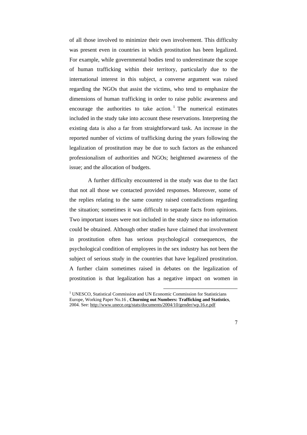of all those involved to minimize their own involvement. This difficulty was present even in countries in which prostitution has been legalized. For example, while governmental bodies tend to underestimate the scope of human trafficking within their territory, particularly due to the international interest in this subject, a converse argument was raised regarding the NGOs that assist the victims, who tend to emphasize the dimensions of human trafficking in order to raise public awareness and encourage the authorities to take action.<sup>1</sup> The numerical estimates included in the study take into account these reservations. Interpreting the existing data is also a far from straightforward task. An increase in the reported number of victims of trafficking during the years following the legalization of prostitution may be due to such factors as the enhanced professionalism of authorities and NGOs; heightened awareness of the issue; and the allocation of budgets.

A further difficulty encountered in the study was due to the fact that not all those we contacted provided responses. Moreover, some of the replies relating to the same country raised contradictions regarding the situation; sometimes it was difficult to separate facts from opinions. Two important issues were not included in the study since no information could be obtained. Although other studies have claimed that involvement in prostitution often has serious psychological consequences, the psychological condition of employees in the sex industry has not been the subject of serious study in the countries that have legalized prostitution. A further claim sometimes raised in debates on the legalization of prostitution is that legalization has a negative impact on women in

<sup>&</sup>lt;sup>1</sup> UNESCO, Statistical Commission and UN Economic Commission for Statisticians Europe, Working Paper No.16 , **Churning out Numbers: Trafficking and Statistics**, 2004. See: http://www.unece.org/stats/documents/2004/10/gender/wp.16.e.pdf

<sup>7</sup>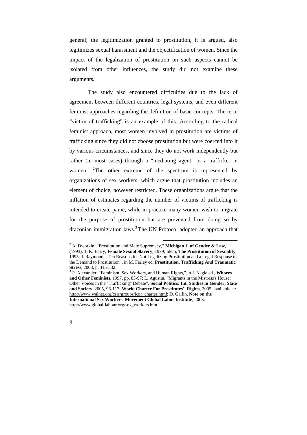general; the legitimization granted to prostitution, it is argued, also legitimizes sexual harassment and the objectification of women. Since the impact of the legalization of prostitution on such aspects cannot be isolated from other influences, the study did not examine these arguments.

The study also encountered difficulties due to the lack of agreement between different countries, legal systems, and even different feminist approaches regarding the definition of basic concepts. The term "victim of trafficking" is an example of this. According to the radical feminist approach, most women involved in prostitution are victims of trafficking since they did not choose prostitution but were coerced into it by various circumstances, and since they do not work independently but rather (in most cases) through a "mediating agent" or a trafficker in women.  ${}^{2}$ The other extreme of the spectrum is represented by organizations of sex workers, which argue that prostitution includes an element of choice, however restricted. These organizations argue that the inflation of estimates regarding the number of victims of trafficking is intended to create panic, while in practice many women wish to migrate for the purpose of prostitution but are prevented from doing so by draconian immigration laws.<sup>3</sup> The UN Protocol adopted an approach that

 2 A. Dworkin, "Prostitution and Male Supremacy," **Michigan J. of Gender & Law**, (1993), 1; K. Barry, **Female Sexual Slavery**, 1979; Idem, **The Prostitution of Sexuality***,* 1995; J. Raymond, "Ten Reasons for Not Legalizing Prostitution and a Legal Response to the Demand to Prostitution", in M. Farley ed. **Prostitution, Trafficking And Traumatic Stress**, 2003, p. 315-332.

<sup>3</sup> P. Alexander, "Feminism, Sex Workers, and Human Rights," in J. Nagle ed., **Whores and Other Feminists**, 1997, pp. 83-97; L. Agustin, "Migrants in the Mistress's House: Other Voices in the "Trafficking" Debate", **Social Politics: Int. Studies in Gender, State and Society***,* 2005, 96-117; **World Charter For Prostitutes'` Rights**, 2005, available at: http://www.walnet.org/csis/groups/icpr\_charter.html; D. Gallin, **Note on the International Sex Workers' Movement Global Labor Institute***,* 2003: http://www.global-labour.org/sex\_workers.htm

<sup>8</sup>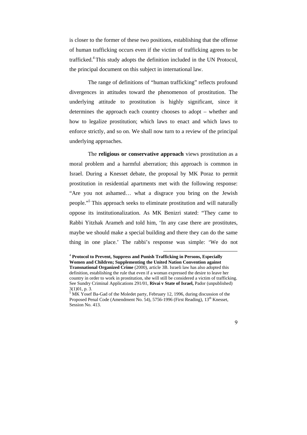is closer to the former of these two positions, establishing that the offense of human trafficking occurs even if the victim of trafficking agrees to be trafficked.<sup>4</sup> This study adopts the definition included in the UN Protocol, the principal document on this subject in international law.

The range of definitions of "human trafficking" reflects profound divergences in attitudes toward the phenomenon of prostitution. The underlying attitude to prostitution is highly significant, since it determines the approach each country chooses to adopt – whether and how to legalize prostitution; which laws to enact and which laws to enforce strictly, and so on. We shall now turn to a review of the principal underlying approaches.

The **religious or conservative approach** views prostitution as a moral problem and a harmful aberration; this approach is common in Israel. During a Knesset debate, the proposal by MK Poraz to permit prostitution in residential apartments met with the following response: "Are you not ashamed… what a disgrace you bring on the Jewish people."<sup>5</sup> This approach seeks to eliminate prostitution and will naturally oppose its institutionalization. As MK Benizri stated: "They came to Rabbi Yitzhak Arameh and told him, 'In any case there are prostitutes, maybe we should make a special building and there they can do the same thing in one place.' The rabbi's response was simple: 'We do not

<sup>4</sup> **Protocol to Prevent, Suppress and Punish Trafficking in Persons, Especially Women and Children; Supplementing the United Nation Convention against Transnational Organized Crime** (2000), article 3B. Israeli law has also adopted this definition, establishing the rule that even if a woman expressed the desire to leave her country in order to work in prostitution, she will still be considered a victim of trafficking. See Sundry Criminal Applications 291/01, **Rivai v State of Israel,** Pador (unpublished) 3(1)01, p. 3.

 $<sup>5</sup>$  MK Yosef Ba-Gad of the Moledet party, February 12, 1996, during discussion of the</sup> Proposed Penal Code (Amendment No. 54), 5756-1996 (First Reading), 13<sup>th</sup> Knesset, Session No. 413.

<sup>9</sup>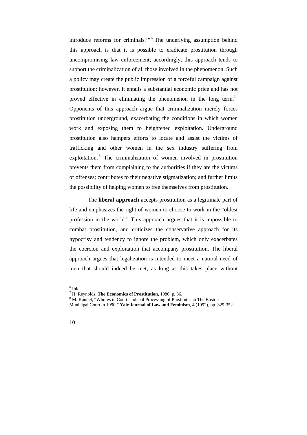introduce reforms for criminals."<sup>6</sup> The underlying assumption behind this approach is that it is possible to eradicate prostitution through uncompromising law enforcement; accordingly, this approach tends to support the criminalization of all those involved in the phenomenon. Such a policy may create the public impression of a forceful campaign against prostitution; however, it entails a substantial economic price and has not proved effective in eliminating the phenomenon in the long term.<sup>7</sup> Opponents of this approach argue that criminalization merely forces prostitution underground, exacerbating the conditions in which women work and exposing them to heightened exploitation. Underground prostitution also hampers efforts to locate and assist the victims of trafficking and other women in the sex industry suffering from exploitation.<sup>8</sup> The criminalization of women involved in prostitution prevents them from complaining to the authorities if they are the victims of offenses; contributes to their negative stigmatization; and further limits the possibility of helping women to free themselves from prostitution.

The **liberal approach** accepts prostitution as a legitimate part of life and emphasizes the right of women to choose to work in the "oldest profession in the world." This approach argues that it is impossible to combat prostitution, and criticizes the conservative approach for its hypocrisy and tendency to ignore the problem, which only exacerbates the coercion and exploitation that accompany prostitution. The liberal approach argues that legalization is intended to meet a natural need of men that should indeed be met, as long as this takes place without



<sup>6</sup> Ibid.

<sup>7</sup> H. Reynolds, **The Economics of Prostitution***,* 1986, p. 36.

<sup>8</sup> M. Kandel, "Whores in Court: Judicial Processing of Prostitutes in The Boston

Municipal Court in 1990," **Yale Journal of Law and Feminism***,* 4 (1992), pp. 329-352.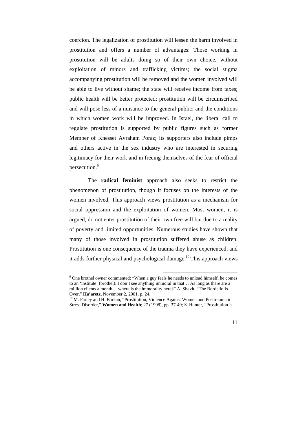coercion. The legalization of prostitution will lessen the harm involved in prostitution and offers a number of advantages: Those working in prostitution will be adults doing so of their own choice, without exploitation of minors and trafficking victims; the social stigma accompanying prostitution will be removed and the women involved will be able to live without shame; the state will receive income from taxes; public health will be better protected; prostitution will be circumscribed and will pose less of a nuisance to the general public; and the conditions in which women work will be improved. In Israel, the liberal call to regulate prostitution is supported by public figures such as former Member of Knesset Avraham Poraz; its supporters also include pimps and others active in the sex industry who are interested in securing legitimacy for their work and in freeing themselves of the fear of official persecution.<sup>9</sup>

The **radical feminist** approach also seeks to restrict the phenomenon of prostitution, though it focuses on the interests of the women involved. This approach views prostitution as a mechanism for social oppression and the exploitation of women. Most women, it is argued, do not enter prostitution of their own free will but due to a reality of poverty and limited opportunities. Numerous studies have shown that many of those involved in prostitution suffered abuse as children. Prostitution is one consequence of the trauma they have experienced, and it adds further physical and psychological damage.<sup>10</sup> This approach views

<sup>&</sup>lt;sup>10</sup> M. Farley and H. Barkan, "Prostitution, Violence Against Women and Posttraumatic Stress Disorder," **Women and Health**; 27 (1998), pp. 37-49; S. Hunter, "Prostitution is



<sup>9</sup> One brothel owner commented: "When a guy feels he needs to unload himself, he comes to an 'institute' (brothel). I don't see anything immoral in that… As long as there are a million clients a month… where is the immorality here?" A. Shavit, "The Bordello Is Over," **Ha'aretz,** November 2, 2001, p. 24.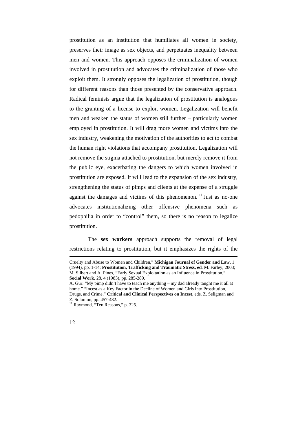prostitution as an institution that humiliates all women in society, preserves their image as sex objects, and perpetuates inequality between men and women. This approach opposes the criminalization of women involved in prostitution and advocates the criminalization of those who exploit them. It strongly opposes the legalization of prostitution, though for different reasons than those presented by the conservative approach. Radical feminists argue that the legalization of prostitution is analogous to the granting of a license to exploit women. Legalization will benefit men and weaken the status of women still further – particularly women employed in prostitution. It will drag more women and victims into the sex industry, weakening the motivation of the authorities to act to combat the human right violations that accompany prostitution. Legalization will not remove the stigma attached to prostitution, but merely remove it from the public eye, exacerbating the dangers to which women involved in prostitution are exposed. It will lead to the expansion of the sex industry, strengthening the status of pimps and clients at the expense of a struggle against the damages and victims of this phenomenon.<sup>11</sup> Just as no-one advocates institutionalizing other offensive phenomena such as pedophilia in order to "control" them, so there is no reason to legalize prostitution.

The **sex workers** approach supports the removal of legal restrictions relating to prostitution, but it emphasizes the rights of the

<sup>&</sup>lt;sup>11</sup> Raymond, "Ten Reasons," p. 325.



<u>.</u>

Cruelty and Abuse to Women and Children," **Michigan Journal of Gender and Law***,* 1 (1994), pp. 1-14; **Prostitution, Trafficking and Traumatic Stress, ed**. M. Farley, 2003; M. Silbert and A. Pines, "Early Sexual Exploitation as an Influence in Prostitution," **Social Work**, 28, 4 (1983), pp. 285-289.

A. Gur: "My pimp didn't have to teach me anything – my dad already taught me it all at home." "Incest as a Key Factor in the Decline of Women and Girls into Prostitution, Drugs, and Crime," **Critical and Clinical Perspectives on Incest**, eds. Z. Seligman and Z. Solomon, pp. 457-482.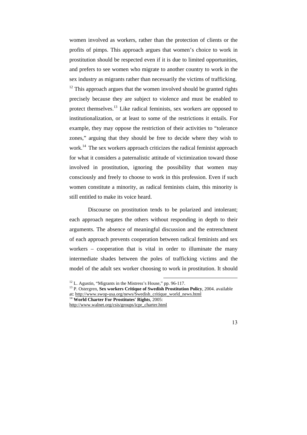women involved as workers, rather than the protection of clients or the profits of pimps. This approach argues that women's choice to work in prostitution should be respected even if it is due to limited opportunities, and prefers to see women who migrate to another country to work in the sex industry as migrants rather than necessarily the victims of trafficking.

 $12$  This approach argues that the women involved should be granted rights precisely because they are subject to violence and must be enabled to protect themselves.<sup>13</sup> Like radical feminists, sex workers are opposed to institutionalization, or at least to some of the restrictions it entails. For example, they may oppose the restriction of their activities to "tolerance zones," arguing that they should be free to decide where they wish to work.<sup>14</sup> The sex workers approach criticizes the radical feminist approach for what it considers a paternalistic attitude of victimization toward those involved in prostitution, ignoring the possibility that women may consciously and freely to choose to work in this profession. Even if such women constitute a minority, as radical feminists claim, this minority is still entitled to make its voice heard.

Discourse on prostitution tends to be polarized and intolerant; each approach negates the others without responding in depth to their arguments. The absence of meaningful discussion and the entrenchment of each approach prevents cooperation between radical feminists and sex workers – cooperation that is vital in order to illuminate the many intermediate shades between the poles of trafficking victims and the model of the adult sex worker choosing to work in prostitution. It should

 $\overline{a}$ 

<sup>14</sup> **World Charter For Prostitutes' Rights**, 2005:

 $12$  L. Agustin, "Migrants in the Mistress's House," pp. 96-117.

<sup>13</sup> P. Ostergren, **Sex workers Critique of Swedish Prostitution Policy**, 2004. available at: http://www.swop-usa.org/news/Swedish\_critique\_world\_news.html

http://www.walnet.org/csis/groups/icpr\_charter.html

<sup>13</sup>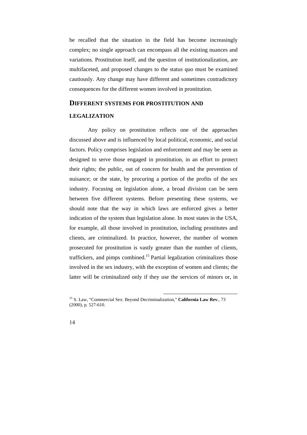be recalled that the situation in the field has become increasingly complex; no single approach can encompass all the existing nuances and variations. Prostitution itself, and the question of institutionalization, are multifaceted, and proposed changes to the status quo must be examined cautiously. Any change may have different and sometimes contradictory consequences for the different women involved in prostitution.

#### **DIFFERENT SYSTEMS FOR PROSTITUTION AND**

#### **LEGALIZATION**

Any policy on prostitution reflects one of the approaches discussed above and is influenced by local political, economic, and social factors. Policy comprises legislation and enforcement and may be seen as designed to serve those engaged in prostitution, in an effort to protect their rights; the public, out of concern for health and the prevention of nuisance; or the state, by procuring a portion of the profits of the sex industry. Focusing on legislation alone, a broad division can be seen between five different systems. Before presenting these systems, we should note that the way in which laws are enforced gives a better indication of the system than legislation alone. In most states in the USA, for example, all those involved in prostitution, including prostitutes and clients, are criminalized. In practice, however, the number of women prosecuted for prostitution is vastly greater than the number of clients, traffickers, and pimps combined.<sup>15</sup> Partial legalization criminalizes those involved in the sex industry, with the exception of women and clients; the latter will be criminalized only if they use the services of minors or, in



<sup>15</sup> S. Law, "Commercial Sex: Beyond Decriminalization," **California Law Rev***.*, 73 (2000), p. 527-610.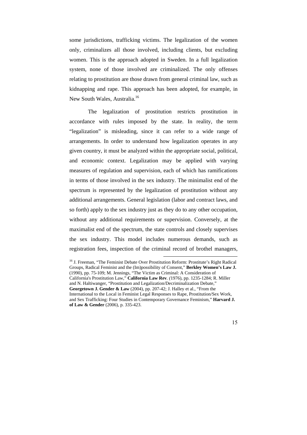some jurisdictions, trafficking victims. The legalization of the women only, criminalizes all those involved, including clients, but excluding women. This is the approach adopted in Sweden. In a full legalization system, none of those involved are criminalized. The only offenses relating to prostitution are those drawn from general criminal law, such as kidnapping and rape. This approach has been adopted, for example, in New South Wales, Australia.<sup>16</sup>

The legalization of prostitution restricts prostitution in accordance with rules imposed by the state. In reality, the term "legalization" is misleading, since it can refer to a wide range of arrangements. In order to understand how legalization operates in any given country, it must be analyzed within the appropriate social, political, and economic context. Legalization may be applied with varying measures of regulation and supervision, each of which has ramifications in terms of those involved in the sex industry. The minimalist end of the spectrum is represented by the legalization of prostitution without any additional arrangements. General legislation (labor and contract laws, and so forth) apply to the sex industry just as they do to any other occupation, without any additional requirements or supervision. Conversely, at the maximalist end of the spectrum, the state controls and closely supervises the sex industry. This model includes numerous demands, such as registration fees, inspection of the criminal record of brothel managers,

 $\overline{a}$ 

15

<sup>&</sup>lt;sup>16</sup> J. Freeman, "The Feminist Debate Over Prostitution Reform: Prostitute's Right Radical Groups, Radical Feminist and the (Im)possibility of Consent," **Berkley Women's Law J.** (1990), pp. 75-109; M. Jennings, "The Victim as Criminal: A Consideration of California's Prostitution Law," **California Law Rev***. (*1976), pp. 1235-1284; R. Miller and N. Haltiwanger, "Prostitution and Legalization/Decriminalization Debate," **Georgetown J. Gender & Law** (2004), pp. 207-42; J. Halley et al., "From the International to the Local in Feminist Legal Responses to Rape, Prostitution/Sex Work, and Sex Trafficking: Four Studies in Contemporary Governance Feminism," **Harvard J. of Law & Gender** (2006), p. 335-423.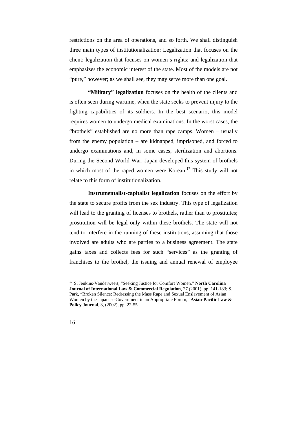restrictions on the area of operations, and so forth. We shall distinguish three main types of institutionalization: Legalization that focuses on the client; legalization that focuses on women's rights; and legalization that emphasizes the economic interest of the state. Most of the models are not "pure," however; as we shall see, they may serve more than one goal.

**"Military" legalization** focuses on the health of the clients and is often seen during wartime, when the state seeks to prevent injury to the fighting capabilities of its soldiers. In the best scenario, this model requires women to undergo medical examinations. In the worst cases, the "brothels" established are no more than rape camps. Women – usually from the enemy population – are kidnapped, imprisoned, and forced to undergo examinations and, in some cases, sterilization and abortions. During the Second World War, Japan developed this system of brothels in which most of the raped women were Korean.<sup>17</sup> This study will not relate to this form of institutionalization.

**Instrumentalist-capitalist legalization** focuses on the effort by the state to secure profits from the sex industry. This type of legalization will lead to the granting of licenses to brothels, rather than to prostitutes; prostitution will be legal only within these brothels. The state will not tend to interfere in the running of these institutions, assuming that those involved are adults who are parties to a business agreement. The state gains taxes and collects fees for such "services" as the granting of franchises to the brothel, the issuing and annual renewal of employee



<sup>17</sup> S. Jenkins-Vanderweert, "Seeking Justice for Comfort Women," **North Carolina Journal of International Law & Commercial Regulation**, 27 (2001), pp. 141-183; S. Park, "Broken Silence: Redressing the Mass Rape and Sexual Enslavement of Asian Women by the Japanese Government in an Appropriate Forum," **Asian-Pacific Law & Policy Journal**, 3, (2002), pp. 22-55.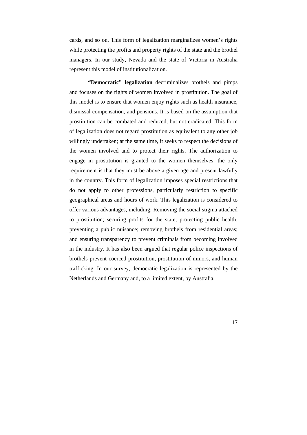cards, and so on. This form of legalization marginalizes women's rights while protecting the profits and property rights of the state and the brothel managers. In our study, Nevada and the state of Victoria in Australia represent this model of institutionalization.

**"Democratic" legalization** decriminalizes brothels and pimps and focuses on the rights of women involved in prostitution. The goal of this model is to ensure that women enjoy rights such as health insurance, dismissal compensation, and pensions. It is based on the assumption that prostitution can be combated and reduced, but not eradicated. This form of legalization does not regard prostitution as equivalent to any other job willingly undertaken; at the same time, it seeks to respect the decisions of the women involved and to protect their rights. The authorization to engage in prostitution is granted to the women themselves; the only requirement is that they must be above a given age and present lawfully in the country. This form of legalization imposes special restrictions that do not apply to other professions, particularly restriction to specific geographical areas and hours of work. This legalization is considered to offer various advantages, including: Removing the social stigma attached to prostitution; securing profits for the state; protecting public health; preventing a public nuisance; removing brothels from residential areas; and ensuring transparency to prevent criminals from becoming involved in the industry. It has also been argued that regular police inspections of brothels prevent coerced prostitution, prostitution of minors, and human trafficking. In our survey, democratic legalization is represented by the Netherlands and Germany and, to a limited extent, by Australia.

17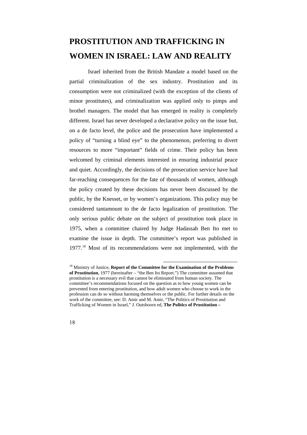### **PROSTITUTION AND TRAFFICKING IN WOMEN IN ISRAEL: LAW AND REALITY**

Israel inherited from the British Mandate a model based on the partial criminalization of the sex industry. Prostitution and its consumption were not criminalized (with the exception of the clients of minor prostitutes), and criminalization was applied only to pimps and brothel managers. The model that has emerged in reality is completely different. Israel has never developed a declarative policy on the issue but, on a de facto level, the police and the prosecution have implemented a policy of "turning a blind eye" to the phenomenon, preferring to divert resources to more "important" fields of crime. Their policy has been welcomed by criminal elements interested in ensuring industrial peace and quiet. Accordingly, the decisions of the prosecution service have had far-reaching consequences for the fate of thousands of women, although the policy created by these decisions has never been discussed by the public, by the Knesset, or by women's organizations. This policy may be considered tantamount to the de facto legalization of prostitution. The only serious public debate on the subject of prostitution took place in 1975, when a committee chaired by Judge Hadassah Ben Ito met to examine the issue in depth. The committee's report was published in 1977.<sup>18</sup> Most of its recommendations were not implemented, with the



<sup>18</sup> Ministry of Justice, **Report of the Committee for the Examination of the Problems of Prostitution**, 1977 (hereinafter – "the Ben Ito Report.") The committee assumed that prostitution is a necessary evil that cannot be eliminated from human society. The committee's recommendations focused on the question as to how young women can be prevented from entering prostitution, and how adult women who choose to work in the profession can do so without harming themselves or the public. For further details on the work of the committee, see: D. Amir and M. Amir, "The Politics of Prostitution and Trafficking of Women in Israel," J. Outshoorn ed, **The Politics of Prostitution –**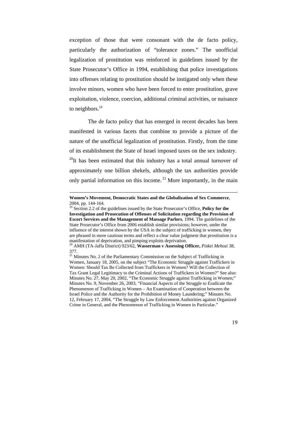exception of those that were consonant with the de facto policy, particularly the authorization of "tolerance zones." The unofficial legalization of prostitution was reinforced in guidelines issued by the State Prosecutor's Office in 1994, establishing that police investigations into offenses relating to prostitution should be instigated only when these involve minors, women who have been forced to enter prostitution, grave exploitation, violence, coercion, additional criminal activities, or nuisance to neighbors.<sup>19</sup>

The de facto policy that has emerged in recent decades has been manifested in various facets that combine to provide a picture of the nature of the unofficial legalization of prostitution. Firstly, from the time of its establishment the State of Israel imposed taxes on the sex industry.  $^{20}$ It has been estimated that this industry has a total annual turnover of approximately one billion shekels, although the tax authorities provide only partial information on this income.<sup>21</sup> More importantly, in the main

-

**Women's Movement, Democratic States and the Globalization of Sex Commerce**, 2004, pp. 144-164.

<sup>19</sup> Section 2.2 of the guidelines issued by the State Prosecutor's Office, **Policy for the Investigation and Prosecution of Offenses of Solicitation regarding the Provision of Escort Services and the Management of Massage Parlors**, 1994. The guidelines of the State Prosecutor's Office from 2006 establish similar provisions; however, under the influence of the interest shown by the USA in the subject of trafficking in women, they are phrased in more cautious terms and reflect a clear value judgment that prostitution is a manifestation of deprivation, and pimping exploits deprivation.

<sup>20</sup> AMH (TA-Jaffa District) 923/62, **Wasserman v Assessing Officer,** *Piskei Mehozi* 38, 377.

<sup>&</sup>lt;sup>21</sup> Minutes No. 2 of the Parliamentary Commission on the Subject of Trafficking in Women, January 18, 2005, on the subject "The Economic Struggle against Traffickers in Women: Should Tax Be Collected from Traffickers in Women? Will the Collection of Tax Grant Legal Legitimacy to the Criminal Actions of Traffickers in Women?" See also: Minutes No. 27, May 20, 2002, "The Economic Struggle against Trafficking in Women;" Minutes No. 9, November 26, 2003, "Financial Aspects of the Struggle to Eradicate the Phenomenon of Trafficking in Women – An Examination of Cooperation between the Israel Police and the Authority for the Prohibition of Money Laundering;" Minutes No. 12, February 17, 2004, "The Struggle by Law Enforcement Authorities against Organized Crime in General, and the Phenomenon of Trafficking in Women in Particular."

<sup>19</sup>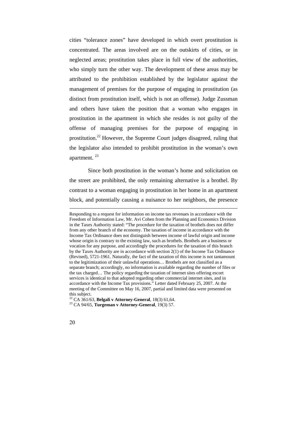cities "tolerance zones" have developed in which overt prostitution is concentrated. The areas involved are on the outskirts of cities, or in neglected areas; prostitution takes place in full view of the authorities, who simply turn the other way. The development of these areas may be attributed to the prohibition established by the legislator against the management of premises for the purpose of engaging in prostitution (as distinct from prostitution itself, which is not an offense). Judge Zussman and others have taken the position that a woman who engages in prostitution in the apartment in which she resides is not guilty of the offense of managing premises for the purpose of engaging in prostitution.<sup>22</sup> However, the Supreme Court judges disagreed, ruling that the legislator also intended to prohibit prostitution in the woman's own apartment.<sup>23</sup>

Since both prostitution in the woman's home and solicitation on the street are prohibited, the only remaining alternative is a brothel. By contrast to a woman engaging in prostitution in her home in an apartment block, and potentially causing a nuisance to her neighbors, the presence

<sup>22</sup> CA 361/63, **Belgali v Attorney-General**, 18(3) 61,64.

<sup>23</sup> CA 94/65, **Turgeman v Attorney-General**, 19(3) 57.



<u>.</u>

Responding to a request for information on income tax revenues in accordance with the Freedom of Information Law, Mr. Avi Cohen from the Planning and Economics Division in the Taxes Authority stated: "The procedure for the taxation of brothels does not differ from any other branch of the economy. The taxation of income in accordance with the Income Tax Ordinance does not distinguish between income of lawful origin and income whose origin is contrary to the existing law, such as brothels. Brothels are a business or vocation for any purpose, and accordingly the procedures for the taxation of this branch by the Taxes Authority are in accordance with section 2(1) of the Income Tax Ordinance (Revised), 5721-1961. Naturally, the fact of the taxation of this income is not tantamount to the legitimization of their unlawful operations… Brothels are not classified as a separate branch; accordingly, no information is available regarding the number of files or the tax charged… The policy regarding the taxation of internet sites offering escort services is identical to that adopted regarding other commercial internet sites, and in accordance with the Income Tax provisions." Letter dated February 25, 2007. At the meeting of the Committee on May 16, 2007, partial and limited data were presented on this subject.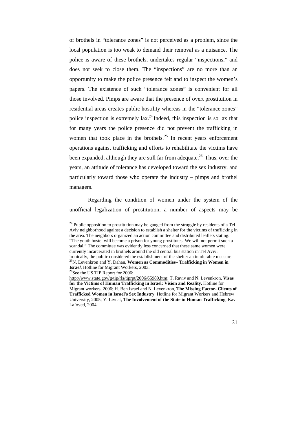of brothels in "tolerance zones" is not perceived as a problem, since the local population is too weak to demand their removal as a nuisance. The police is aware of these brothels, undertakes regular "inspections," and does not seek to close them. The "inspections" are no more than an opportunity to make the police presence felt and to inspect the women's papers. The existence of such "tolerance zones" is convenient for all those involved. Pimps are aware that the presence of overt prostitution in residential areas creates public hostility whereas in the "tolerance zones" police inspection is extremely  $\text{lax}^2$  Indeed, this inspection is so lax that for many years the police presence did not prevent the trafficking in women that took place in the brothels.<sup>25</sup> In recent years enforcement operations against trafficking and efforts to rehabilitate the victims have been expanded, although they are still far from adequate.<sup>26</sup> Thus, over the years, an attitude of tolerance has developed toward the sex industry, and particularly toward those who operate the industry – pimps and brothel managers.

Regarding the condition of women under the system of the unofficial legalization of prostitution, a number of aspects may be

 $26$ See the US TIP Report for 2006:

 $\overline{a}$  $^{24}$  Public opposition to prostitution may be gauged from the struggle by residents of a Tel Aviv neighborhood against a decision to establish a shelter for the victims of trafficking in the area. The neighbors organized an action committee and distributed leaflets stating: "The youth hostel will become a prison for young prostitutes. We will not permit such a scandal." The committee was evidently less concerned that these same women were currently incarcerated in brothels around the old central bus station in Tel Aviv; ironically, the public considered the establishment of the shelter an intolerable measure. <sup>25</sup>N. Levenkron and Y. Dahan, **Women as Commodities– Trafficking in Women in Israe***l*, Hotline for Migrant Workers, 2003.

http://www.state.gov/g/tip/rls/tiprpt/2006/65989.htm; T. Raviv and N. Levenkron, **Visas for the Victims of Human Trafficking in Israel: Vision and Reality,** Hotline for Migrant workers, 2006; H. Ben Israel and N. Levenkron, **The Missing Factor- Clients of Trafficked Women in Israel's Sex Industry**, Hotline for Migrant Workers and Hebrew University, 2005; Y. Livnat, **The Involvement of the State in Human Trafficking**, Kav La'oved, 2004.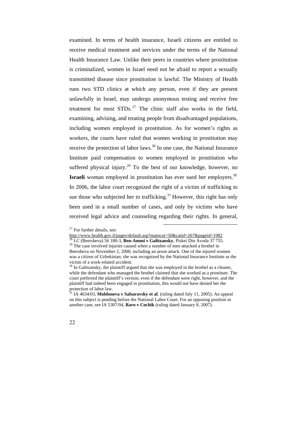examined. In terms of health insurance, Israeli citizens are entitled to receive medical treatment and services under the terms of the National Health Insurance Law. Unlike their peers in countries where prostitution is criminalized, women in Israel need not be afraid to report a sexually transmitted disease since prostitution is lawful. The Ministry of Health runs two STD clinics at which any person, even if they are present unlawfully in Israel, may undergo anonymous testing and receive free treatment for most  $STDs$ . The clinic staff also works in the field, examining, advising, and treating people from disadvantaged populations, including women employed in prostitution. As for women's rights as workers, the courts have ruled that women working in prostitution may receive the protection of labor laws.<sup>28</sup> In one case, the National Insurance Institute paid compensation to women employed in prostitution who suffered physical injury.<sup>29</sup> To the best of our knowledge, however, no **Israeli** woman employed in prostitution has ever sued her employers.<sup>30</sup> In 2006, the labor court recognized the right of a victim of trafficking to sue those who subjected her to trafficking.<sup>31</sup> However, this right has only been used in a small number of cases, and only by victims who have received legal advice and counseling regarding their rights. In general,

 $27$  For further details, see:

http://www.health.gov.il/pages/default.asp?maincat=50&catid=267&pageid=1982 <sup>28</sup> LC (Beersheva) 56 180-3, **Ben-Ammi v Galitzansky**, Piskei Din Avoda 37 755.

<sup>&</sup>lt;sup>29</sup> The case involved injuries caused when a number of men attacked a brothel in Beersheva on November 2, 2000, including an arson attack. One of the injured women was a citizen of Uzbekistan; she was recognized by the National Insurance Institute as the victim of a work-related accident.

<sup>&</sup>lt;sup>30</sup> In Galitzansky, the plaintiff argued that she was employed in the brothel as a cleaner, while the defendant who managed the brothel claimed that she worked as a prostitute. The court preferred the plaintiff's version; even if the defendant were right, however, and the plaintiff had indeed been engaged in prostitution, this would not have denied her the protection of labor law.

<sup>&</sup>lt;sup>1</sup> IA 4634/03, **Moldonova v Salsaravsky et al**. (ruling dated July 11, 2005). An appeal on this subject is pending before the National Labor Court. For an opposing position in another case, see IA 5307/04, **Raro v Cochik** (ruling dated January 8, 2007).

<sup>22</sup>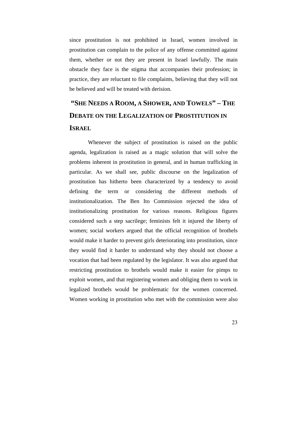since prostitution is not prohibited in Israel, women involved in prostitution can complain to the police of any offense committed against them, whether or not they are present in Israel lawfully. The main obstacle they face is the stigma that accompanies their profession; in practice, they are reluctant to file complaints, believing that they will not be believed and will be treated with derision.

### **"SHE NEEDS A ROOM, A SHOWER, AND TOWELS" – THE DEBATE ON THE LEGALIZATION OF PROSTITUTION IN ISRAEL**

Whenever the subject of prostitution is raised on the public agenda, legalization is raised as a magic solution that will solve the problems inherent in prostitution in general, and in human trafficking in particular. As we shall see, public discourse on the legalization of prostitution has hitherto been characterized by a tendency to avoid defining the term or considering the different methods of institutionalization. The Ben Ito Commission rejected the idea of institutionalizing prostitution for various reasons. Religious figures considered such a step sacrilege; feminists felt it injured the liberty of women; social workers argued that the official recognition of brothels would make it harder to prevent girls deteriorating into prostitution, since they would find it harder to understand why they should not choose a vocation that had been regulated by the legislator. It was also argued that restricting prostitution to brothels would make it easier for pimps to exploit women, and that registering women and obliging them to work in legalized brothels would be problematic for the women concerned. Women working in prostitution who met with the commission were also

23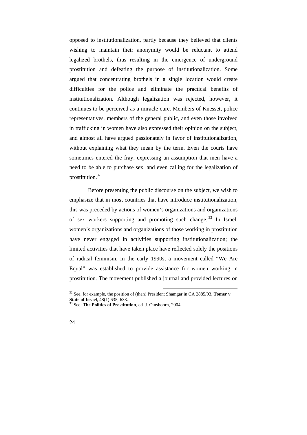opposed to institutionalization, partly because they believed that clients wishing to maintain their anonymity would be reluctant to attend legalized brothels, thus resulting in the emergence of underground prostitution and defeating the purpose of institutionalization. Some argued that concentrating brothels in a single location would create difficulties for the police and eliminate the practical benefits of institutionalization. Although legalization was rejected, however, it continues to be perceived as a miracle cure. Members of Knesset, police representatives, members of the general public, and even those involved in trafficking in women have also expressed their opinion on the subject, and almost all have argued passionately in favor of institutionalization, without explaining what they mean by the term. Even the courts have sometimes entered the fray, expressing an assumption that men have a need to be able to purchase sex, and even calling for the legalization of prostitution.<sup>32</sup>

Before presenting the public discourse on the subject, we wish to emphasize that in most countries that have introduce institutionalization, this was preceded by actions of women's organizations and organizations of sex workers supporting and promoting such change.<sup>33</sup> In Israel, women's organizations and organizations of those working in prostitution have never engaged in activities supporting institutionalization; the limited activities that have taken place have reflected solely the positions of radical feminism. In the early 1990s, a movement called "We Are Equal" was established to provide assistance for women working in prostitution. The movement published a journal and provided lectures on

<sup>33</sup> See: **The Politics of Prostitution**, ed. J. Outshoorn, 2004.



<sup>32</sup> See, for example, the position of (then) President Shamgar in CA 2885/93, **Tomer v State of Israel**, 48(1) 635, 638.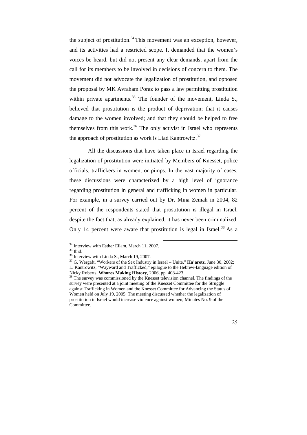the subject of prostitution.<sup>34</sup> This movement was an exception, however, and its activities had a restricted scope. It demanded that the women's voices be heard, but did not present any clear demands, apart from the call for its members to be involved in decisions of concern to them. The movement did not advocate the legalization of prostitution, and opposed the proposal by MK Avraham Poraz to pass a law permitting prostitution within private apartments.<sup>35</sup> The founder of the movement, Linda S., believed that prostitution is the product of deprivation; that it causes damage to the women involved; and that they should be helped to free themselves from this work. $36$  The only activist in Israel who represents the approach of prostitution as work is Liad Kantrowitz.<sup>37</sup>

All the discussions that have taken place in Israel regarding the legalization of prostitution were initiated by Members of Knesset, police officials, traffickers in women, or pimps. In the vast majority of cases, these discussions were characterized by a high level of ignorance regarding prostitution in general and trafficking in women in particular. For example, in a survey carried out by Dr. Mina Zemah in 2004, 82 percent of the respondents stated that prostitution is illegal in Israel, despite the fact that, as already explained, it has never been criminalized. Only 14 percent were aware that prostitution is legal in Israel.<sup>38</sup> As a

<sup>&</sup>lt;sup>34</sup> Interview with Esther Eilam, March 11, 2007.

 $35$  Ibid.

<sup>36</sup> Interview with Linda S., March 19, 2007.

<sup>37</sup> G. Wergaft, "Workers of the Sex Industry in Israel – Unite," **Ha'aretz**, June 30, 2002; L. Kantrowitz, "Wayward and Trafficked," epilogue to the Hebrew-language edition of Nicky Roberts, **Whores Making History**, 2006, pp. 408-423.

<sup>&</sup>lt;sup>38</sup> The survey was commissioned by the Knesset television channel. The findings of the survey were presented at a joint meeting of the Knesset Committee for the Struggle against Trafficking in Women and the Knesset Committee for Advancing the Status of Women held on July 19, 2005. The meeting discussed whether the legalization of prostitution in Israel would increase violence against women; Minutes No. 9 of the Committee.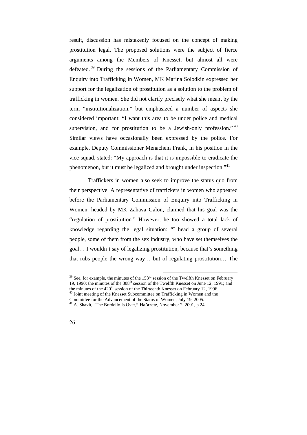result, discussion has mistakenly focused on the concept of making prostitution legal. The proposed solutions were the subject of fierce arguments among the Members of Knesset, but almost all were defeated. <sup>39</sup> During the sessions of the Parliamentary Commission of Enquiry into Trafficking in Women, MK Marina Solodkin expressed her support for the legalization of prostitution as a solution to the problem of trafficking in women. She did not clarify precisely what she meant by the term "institutionalization," but emphasized a number of aspects she considered important: "I want this area to be under police and medical supervision, and for prostitution to be a Jewish-only profession." 40 Similar views have occasionally been expressed by the police. For example, Deputy Commissioner Menachem Frank, in his position in the vice squad, stated: "My approach is that it is impossible to eradicate the phenomenon, but it must be legalized and brought under inspection."<sup>41</sup>

Traffickers in women also seek to improve the status quo from their perspective. A representative of traffickers in women who appeared before the Parliamentary Commission of Enquiry into Trafficking in Women, headed by MK Zahava Galon, claimed that his goal was the "regulation of prostitution." However, he too showed a total lack of knowledge regarding the legal situation: "I head a group of several people, some of them from the sex industry, who have set themselves the goal… I wouldn't say of legalizing prostitution, because that's something that rubs people the wrong way… but of regulating prostitution… The

<sup>41</sup> A. Shavit, "The Bordello Is Over," **Ha'aretz**, November 2, 2001, p.24.



 $39$  See, for example, the minutes of the 153<sup>rd</sup> session of the Twelfth Knesset on February 19, 1990; the minutes of the  $308<sup>th</sup>$  session of the Twelfth Knesset on June 12, 1991; and the minutes of the  $420<sup>th</sup>$  session of the Thirteenth Knesset on February 12, 1996. <sup>40</sup> Joint meeting of the Knesset Subcommittee on Trafficking in Women and the Committee for the Advancement of the Status of Women, July 19, 2005.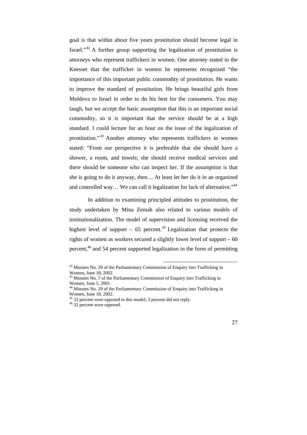goal is that within about five years prostitution should become legal in Israel."<sup>42</sup> A further group supporting the legalization of prostitution is attorneys who represent traffickers in women. One attorney stated in the Knesset that the trafficker in women he represents recognized "the importance of this important public commodity of prostitution. He wants to improve the standard of prostitution. He brings beautiful girls from Moldova to Israel in order to do his best for the consumers. You may laugh, but we accept the basic assumption that this is an important social commodity, so it is important that the service should be at a high standard. I could lecture for an hour on the issue of the legalization of prostitution."<sup>43</sup> Another attorney who represents traffickers in women stated: "From our perspective it is preferable that she should have a shower, a room, and towels; she should receive medical services and there should be someone who can inspect her. If the assumption is that she is going to do it anyway, then… At least let her do it in an organized and controlled way... We can call it legalization for lack of alternative." $44$ 

In addition to examining principled attitudes to prostitution, the study undertaken by Mina Zemah also related to various models of institutionalization. The model of supervision and licensing received the highest level of support –  $65$  percent.<sup>45</sup> Legalization that protects the rights of women as workers secured a slightly lower level of support – 60 percent,<sup>46</sup> and 54 percent supported legalization in the form of permitting

<sup>&</sup>lt;sup>42</sup> Minutes No. 29 of the Parliamentary Commission of Enquiry into Trafficking in Women, June 18, 2002.

<sup>&</sup>lt;sup>43</sup> Minutes No. 7 of the Parliamentary Commission of Enquiry into Trafficking in Women, June 5, 2001.

<sup>&</sup>lt;sup>44</sup> Minutes No. 29 of the Parliamentary Commission of Enquiry into Trafficking in Women, June 18, 2002.

 $45$  32 percent were opposed to this model; 3 percent did not reply.

<sup>46</sup> 32 percent were opposed.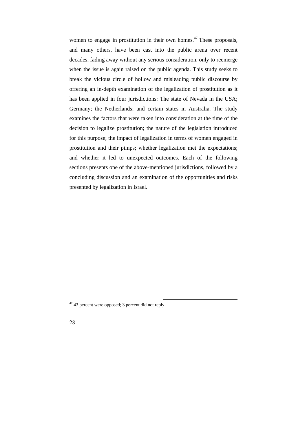women to engage in prostitution in their own homes.<sup>47</sup> These proposals, and many others, have been cast into the public arena over recent decades, fading away without any serious consideration, only to reemerge when the issue is again raised on the public agenda. This study seeks to break the vicious circle of hollow and misleading public discourse by offering an in-depth examination of the legalization of prostitution as it has been applied in four jurisdictions: The state of Nevada in the USA; Germany; the Netherlands; and certain states in Australia. The study examines the factors that were taken into consideration at the time of the decision to legalize prostitution; the nature of the legislation introduced for this purpose; the impact of legalization in terms of women engaged in prostitution and their pimps; whether legalization met the expectations; and whether it led to unexpected outcomes. Each of the following sections presents one of the above-mentioned jurisdictions, followed by a concluding discussion and an examination of the opportunities and risks presented by legalization in Israel.

<sup>&</sup>lt;sup>47</sup> 43 percent were opposed; 3 percent did not reply.

<sup>28</sup>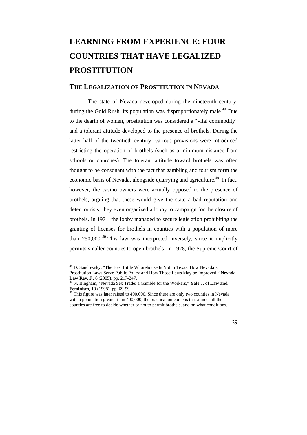# **LEARNING FROM EXPERIENCE: FOUR COUNTRIES THAT HAVE LEGALIZED PROSTITUTION**

#### **THE LEGALIZATION OF PROSTITUTION IN NEVADA**

The state of Nevada developed during the nineteenth century; during the Gold Rush, its population was disproportionately male.<sup>48</sup> Due to the dearth of women, prostitution was considered a "vital commodity" and a tolerant attitude developed to the presence of brothels. During the latter half of the twentieth century, various provisions were introduced restricting the operation of brothels (such as a minimum distance from schools or churches). The tolerant attitude toward brothels was often thought to be consonant with the fact that gambling and tourism form the economic basis of Nevada, alongside quarrying and agriculture.<sup>49</sup> In fact, however, the casino owners were actually opposed to the presence of brothels, arguing that these would give the state a bad reputation and deter tourists; they even organized a lobby to campaign for the closure of brothels. In 1971, the lobby managed to secure legislation prohibiting the granting of licenses for brothels in counties with a population of more than  $250,000$ .<sup>50</sup> This law was interpreted inversely, since it implicitly permits smaller counties to open brothels. In 1978, the Supreme Court of

<sup>48</sup> D. Sandowsky, "The Best Little Whorehouse Is Not in Texas: How Nevada's Prostitution Laws Serve Public Policy and How Those Laws May be Improved," **Nevada Law Rev. J***.*, 6 (2005), pp. 217-247.

<sup>49</sup> N. Bingham, "Nevada Sex Trade: a Gamble for the Workers," **Yale J. of Law and Feminism**, 10 (1998), pp. 69-99.

This figure was later raised to 400,000. Since there are only two counties in Nevada with a population greater than 400,000, the practical outcome is that almost all the counties are free to decide whether or not to permit brothels, and on what conditions.

<sup>29</sup>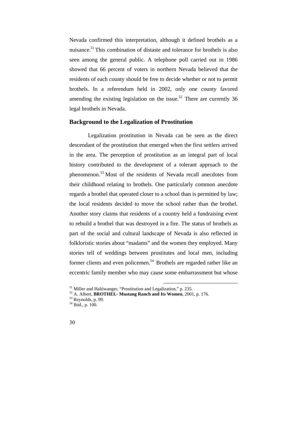Nevada confirmed this interpretation, although it defined brothels as a nuisance.<sup>51</sup> This combination of distaste and tolerance for brothels is also seen among the general public. A telephone poll carried out in 1986 showed that 66 percent of voters in northern Nevada believed that the residents of each county should be free to decide whether or not to permit brothels. In a referendum held in 2002, only one county favored amending the existing legislation on the issue.<sup>52</sup> There are currently  $36$ legal brothels in Nevada.

#### **Background to the Legalization of Prostitution**

Legalization prostitution in Nevada can be seen as the direct descendant of the prostitution that emerged when the first settlers arrived in the area. The perception of prostitution as an integral part of local history contributed to the development of a tolerant approach to the phenomenon.<sup>53</sup> Most of the residents of Nevada recall anecdotes from their childhood relating to brothels. One particularly common anecdote regards a brothel that operated closer to a school than is permitted by law; the local residents decided to move the school rather than the brothel. Another story claims that residents of a country held a fundraising event to rebuild a brothel that was destroyed in a fire. The status of brothels as part of the social and cultural landscape of Nevada is also reflected in folkloristic stories about "madams" and the women they employed. Many stories tell of weddings between prostitutes and local men, including former clients and even policemen.<sup>54</sup> Brothels are regarded rather like an eccentric family member who may cause some embarrassment but whose

 $54$  Ibid., p.  $100$ .



<sup>&</sup>lt;sup>51</sup> Miller and Haltiwanger, "Prostitution and Legalization," p. 235.

<sup>52</sup> A. Albert, **BROTHEL- Mustang Ranch and Its Women**, 2001, p. 176.

 $53$  Reynolds, p. 99.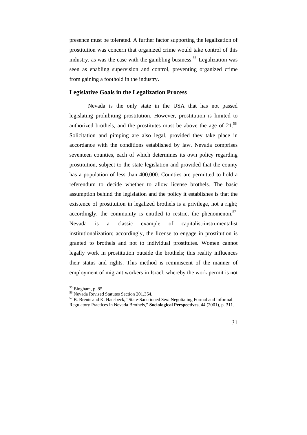presence must be tolerated. A further factor supporting the legalization of prostitution was concern that organized crime would take control of this industry, as was the case with the gambling business.<sup>55</sup> Legalization was seen as enabling supervision and control, preventing organized crime from gaining a foothold in the industry.

#### **Legislative Goals in the Legalization Process**

Nevada is the only state in the USA that has not passed legislating prohibiting prostitution. However, prostitution is limited to authorized brothels, and the prostitutes must be above the age of  $21^{56}$ Solicitation and pimping are also legal, provided they take place in accordance with the conditions established by law. Nevada comprises seventeen counties, each of which determines its own policy regarding prostitution, subject to the state legislation and provided that the county has a population of less than 400,000. Counties are permitted to hold a referendum to decide whether to allow license brothels. The basic assumption behind the legislation and the policy it establishes is that the existence of prostitution in legalized brothels is a privilege, not a right; accordingly, the community is entitled to restrict the phenomenon.<sup>57</sup> Nevada is a classic example of capitalist-instrumentalist institutionalization; accordingly, the license to engage in prostitution is granted to brothels and not to individual prostitutes. Women cannot legally work in prostitution outside the brothels; this reality influences their status and rights. This method is reminiscent of the manner of employment of migrant workers in Israel, whereby the work permit is not

<sup>55</sup> Bingham, p. 85.

<sup>&</sup>lt;sup>56</sup> Nevada Revised Statutes Section 201.354.

<sup>57</sup> B. Brents and K. Hausbeck, "State-Sanctioned Sex: Negotiating Formal and Informal Regulatory Practices in Nevada Brothels," **Sociological Perspectives**, 44 (2001), p. 311.

<sup>31</sup>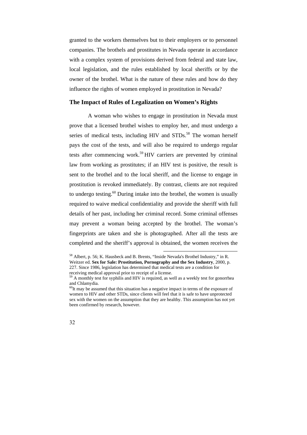granted to the workers themselves but to their employers or to personnel companies. The brothels and prostitutes in Nevada operate in accordance with a complex system of provisions derived from federal and state law, local legislation, and the rules established by local sheriffs or by the owner of the brothel. What is the nature of these rules and how do they influence the rights of women employed in prostitution in Nevada?

#### **The Impact of Rules of Legalization on Women's Rights**

A woman who wishes to engage in prostitution in Nevada must prove that a licensed brothel wishes to employ her, and must undergo a series of medical tests, including HIV and  $STDs$ <sup>58</sup>. The woman herself pays the cost of the tests, and will also be required to undergo regular tests after commencing work.<sup>59</sup> HIV carriers are prevented by criminal law from working as prostitutes; if an HIV test is positive, the result is sent to the brothel and to the local sheriff, and the license to engage in prostitution is revoked immediately. By contrast, clients are not required to undergo testing. $60$  During intake into the brothel, the women is usually required to waive medical confidentiality and provide the sheriff with full details of her past, including her criminal record. Some criminal offenses may prevent a woman being accepted by the brothel. The woman's fingerprints are taken and she is photographed. After all the tests are completed and the sheriff's approval is obtained, the women receives the

<sup>60</sup>It may be assumed that this situation has a negative impact in terms of the exposure of women to HIV and other STDs, since clients will feel that it is safe to have unprotected sex with the women on the assumption that they are healthy. This assumption has not yet been confirmed by research, however.



<sup>58</sup> Albert, p. 56; K. Hausbeck and B. Brents, "Inside Nevada's Brothel Industry," in R. Weitzer ed. **Sex for Sale: Prostitution, Pornography and the Sex Industry**, 2000, p. 227. Since 1986, legislation has determined that medical tests are a condition for receiving medical approval prior to receipt of a license.

<sup>&</sup>lt;sup>59</sup> A monthly test for syphilis and HIV is required, as well as a weekly test for gonorrhea and Chlamydia.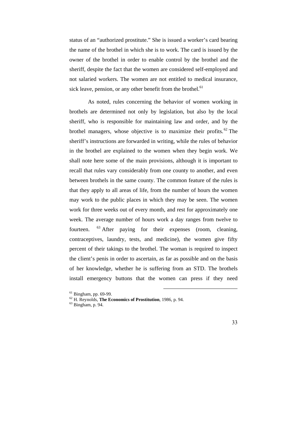status of an "authorized prostitute." She is issued a worker's card bearing the name of the brothel in which she is to work. The card is issued by the owner of the brothel in order to enable control by the brothel and the sheriff, despite the fact that the women are considered self-employed and not salaried workers. The women are not entitled to medical insurance, sick leave, pension, or any other benefit from the brothel. $61$ 

As noted, rules concerning the behavior of women working in brothels are determined not only by legislation, but also by the local sheriff, who is responsible for maintaining law and order, and by the brothel managers, whose objective is to maximize their profits.<sup>62</sup> The sheriff's instructions are forwarded in writing, while the rules of behavior in the brothel are explained to the women when they begin work. We shall note here some of the main provisions, although it is important to recall that rules vary considerably from one county to another, and even between brothels in the same county. The common feature of the rules is that they apply to all areas of life, from the number of hours the women may work to the public places in which they may be seen. The women work for three weeks out of every month, and rest for approximately one week. The average number of hours work a day ranges from twelve to fourteen. <sup>63</sup> After paying for their expenses (room, cleaning, contraceptives, laundry, tests, and medicine), the women give fifty percent of their takings to the brothel. The woman is required to inspect the client's penis in order to ascertain, as far as possible and on the basis of her knowledge, whether he is suffering from an STD. The brothels install emergency buttons that the women can press if they need

<sup>61</sup> Bingham, pp. 69-99.

<sup>62</sup> H. Reynolds, **The Economics of Prostitution***,* 1986, p. 94.

<sup>63</sup> Bingham, p. 94.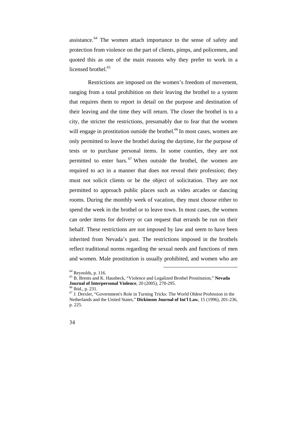assistance.<sup>64</sup> The women attach importance to the sense of safety and protection from violence on the part of clients, pimps, and policemen, and quoted this as one of the main reasons why they prefer to work in a licensed brothel.<sup>65</sup>

Restrictions are imposed on the women's freedom of movement, ranging from a total prohibition on their leaving the brothel to a system that requires them to report in detail on the purpose and destination of their leaving and the time they will return. The closer the brothel is to a city, the stricter the restrictions, presumably due to fear that the women will engage in prostitution outside the brothel.<sup>66</sup> In most cases, women are only permitted to leave the brothel during the daytime, for the purpose of tests or to purchase personal items. In some counties, they are not permitted to enter bars.<sup>67</sup> When outside the brothel, the women are required to act in a manner that does not reveal their profession; they must not solicit clients or be the object of solicitation. They are not permitted to approach public places such as video arcades or dancing rooms. During the monthly week of vacation, they must choose either to spend the week in the brothel or to leave town. In most cases, the women can order items for delivery or can request that errands be run on their behalf. These restrictions are not imposed by law and seem to have been inherited from Nevada's past. The restrictions imposed in the brothels reflect traditional norms regarding the sexual needs and functions of men and women. Male prostitution is usually prohibited, and women who are

 $67$  J. Drexler, "Government's Role in Turning Tricks: The World Oldest Profession in the Netherlands and the United States," **Dickinson Journal of Int'l Law***,* 15 (1996), 201-236, p. 225.



 $64$  Reynolds, p. 116.

<sup>65</sup> B. Brents and K. Hausbeck, "Violence and Legalized Brothel Prostitution," **Nevada Journal of Interpersonal Violence**, 20 (2005), 270-295.

Ibid., p. 231.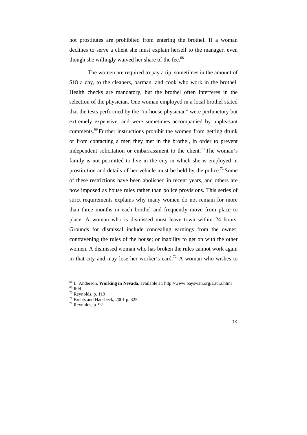not prostitutes are prohibited from entering the brothel. If a woman declines to serve a client she must explain herself to the manager, even though she willingly waived her share of the fee. $68$ 

The women are required to pay a tip, sometimes in the amount of \$18 a day, to the cleaners, barman, and cook who work in the brothel. Health checks are mandatory, but the brothel often interferes in the selection of the physician. One woman employed in a local brothel stated that the tests performed by the "in-house physician" were perfunctory but extremely expensive, and were sometimes accompanied by unpleasant comments.<sup>69</sup> Further instructions prohibit the women from getting drunk or from contacting a men they met in the brothel, in order to prevent independent solicitation or embarrassment to the client.<sup>70</sup> The woman's family is not permitted to live in the city in which she is employed in prostitution and details of her vehicle must be held by the police.<sup>71</sup> Some of these restrictions have been abolished in recent years, and others are now imposed as house rules rather than police provisions. This series of strict requirements explains why many women do not remain for more than three months in each brothel and frequently move from place to place. A woman who is dismissed must leave town within 24 hours. Grounds for dismissal include concealing earnings from the owner; contravening the rules of the house; or inability to get on with the other women. A dismissed woman who has broken the rules cannot work again in that city and may lose her worker's card.<sup>72</sup> A woman who wishes to

<sup>68</sup> L. Anderson, **Working in Nevada***,* available at: http://www.bayswan.org/Laura.html  $^{69}$  Ibid.

 $70$  Reynolds, p. 119

<sup>71</sup> Brents and Hausbeck, 2001 p. 325

 $72$  Reynolds, p. 92.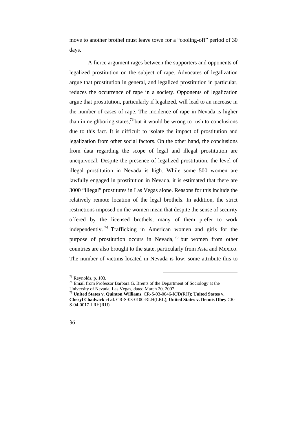move to another brothel must leave town for a "cooling-off" period of 30 days.

A fierce argument rages between the supporters and opponents of legalized prostitution on the subject of rape. Advocates of legalization argue that prostitution in general, and legalized prostitution in particular, reduces the occurrence of rape in a society. Opponents of legalization argue that prostitution, particularly if legalized, will lead to an increase in the number of cases of rape. The incidence of rape in Nevada is higher than in neighboring states,<sup>73</sup> but it would be wrong to rush to conclusions due to this fact. It is difficult to isolate the impact of prostitution and legalization from other social factors. On the other hand, the conclusions from data regarding the scope of legal and illegal prostitution are unequivocal. Despite the presence of legalized prostitution, the level of illegal prostitution in Nevada is high. While some 500 women are lawfully engaged in prostitution in Nevada, it is estimated that there are 3000 "illegal" prostitutes in Las Vegas alone. Reasons for this include the relatively remote location of the legal brothels. In addition, the strict restrictions imposed on the women mean that despite the sense of security offered by the licensed brothels, many of them prefer to work independently.<sup>74</sup> Trafficking in American women and girls for the purpose of prostitution occurs in Nevada,  $75$  but women from other countries are also brought to the state, particularly from Asia and Mexico. The number of victims located in Nevada is low; some attribute this to



<sup>73</sup> Reynolds, p. 103.

<sup>&</sup>lt;sup>74</sup> Email from Professor Barbara G. Brents of the Department of Sociology at the University of Nevada, Las Vegas, dated March 20, 2007.

<sup>75</sup> **United States v. Quinton Williams**, CR-S-03-0046-KJD(RJJ); **United States v. Cheryl Chadwick et al**. CR-S-03-0100-RLH(LRL); **United States v. Dennis Obey** CR-S-04-0017-LRH(RJJ)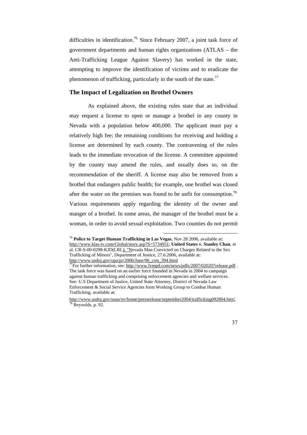difficulties in identification.<sup>76</sup> Since February 2007, a joint task force of government departments and human rights organizations (ATLAS – the Anti-Trafficking League Against Slavery) has worked in the state, attempting to improve the identification of victims and to eradicate the phenomenon of trafficking, particularly in the south of the state.<sup>77</sup>

#### **The Impact of Legalization on Brothel Owners**

As explained above, the existing rules state that an individual may request a license to open or manage a brothel in any county in Nevada with a population below 400,000. The applicant must pay a relatively high fee; the remaining conditions for receiving and holding a license are determined by each county. The contravening of the rules leads to the immediate revocation of the license. A committee appointed by the county may amend the rules, and usually does so, on the recommendation of the sheriff. A license may also be removed from a brothel that endangers public health; for example, one brothel was closed after the water on the premises was found to be unfit for consumption.<sup>78</sup> Various requirements apply regarding the identity of the owner and manger of a brothel. In some areas, the manager of the brothel must be a woman, in order to avoid sexual exploitation. Two counties do not permit

<sup>76</sup> **Police to Target Human Trafficking in Las Vegas**, Nov 28 2006, available at: http://www.klas-tv.com/Global/story.asp?S=5734951; **United States v. Stanley Chan**, et al. CR-S-00-0298-KJD(LRL); "Nevada Man Convicted on Charges Related to the Sex Trafficking of Minors", Department of Justice, 27.6.2006, available at: http://www.usdoj.gov/opa/pr/2006/June/06\_crm\_394.html

 $^{77}$ For further information, see: http://www.lvmpd.com/news/pdfs/2007/020207release.pdf. The task force was based on an earlier force founded in Nevada in 2004 to campaign against human trafficking and comprising enforcement agencies and welfare services. See: U.S Department of Justice, United State Attorney, District of Nevada Law Enforcement & Social Service Agencies form Working Group to Combat Human Trafficking. available at:

http://www.usdoj.gov/usao/nv/home/pressrelease/september2004/trafficking092804.htm;  $78$  Reynolds, p. 92.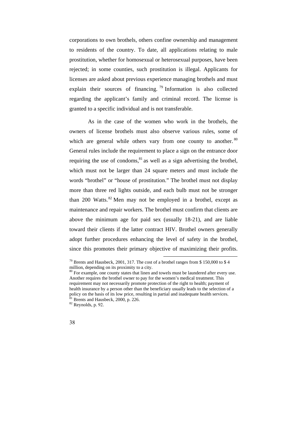corporations to own brothels, others confine ownership and management to residents of the country. To date, all applications relating to male prostitution, whether for homosexual or heterosexual purposes, have been rejected; in some counties, such prostitution is illegal. Applicants for licenses are asked about previous experience managing brothels and must explain their sources of financing.<sup>79</sup> Information is also collected regarding the applicant's family and criminal record. The license is granted to a specific individual and is not transferable.

As in the case of the women who work in the brothels, the owners of license brothels must also observe various rules, some of which are general while others vary from one county to another.  $80$ General rules include the requirement to place a sign on the entrance door requiring the use of condoms, ${}^{81}$  as well as a sign advertising the brothel, which must not be larger than 24 square meters and must include the words "brothel" or "house of prostitution." The brothel must not display more than three red lights outside, and each bulb must not be stronger than 200 Watts. $82$  Men may not be employed in a brothel, except as maintenance and repair workers. The brothel must confirm that clients are above the minimum age for paid sex (usually 18-21), and are liable toward their clients if the latter contract HIV. Brothel owners generally adopt further procedures enhancing the level of safety in the brothel, since this promotes their primary objective of maximizing their profits.

 $82$  Reynolds, p. 92.



<sup>79</sup> Brents and Hausbeck, 2001, 317. The cost of a brothel ranges from \$ 150,000 to \$ 4 million, depending on its proximity to a city.

 $80$  For example, one county states that linen and towels must be laundered after every use. Another requires the brothel owner to pay for the women's medical treatment. This requirement may not necessarily promote protection of the right to health; payment of health insurance by a person other than the beneficiary usually leads to the selection of a policy on the basis of its low price, resulting in partial and inadequate health services.  $81$  Brents and Hausbeck, 2000, p. 226.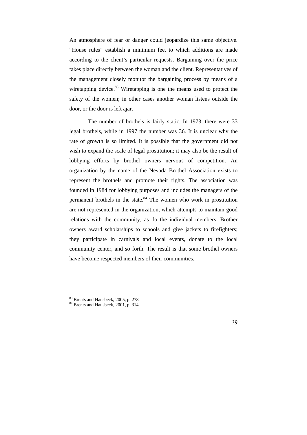An atmosphere of fear or danger could jeopardize this same objective. "House rules" establish a minimum fee, to which additions are made according to the client's particular requests. Bargaining over the price takes place directly between the woman and the client. Representatives of the management closely monitor the bargaining process by means of a wiretapping device.<sup>83</sup> Wiretapping is one the means used to protect the safety of the women; in other cases another woman listens outside the door, or the door is left ajar.

The number of brothels is fairly static. In 1973, there were 33 legal brothels, while in 1997 the number was 36. It is unclear why the rate of growth is so limited. It is possible that the government did not wish to expand the scale of legal prostitution; it may also be the result of lobbying efforts by brothel owners nervous of competition. An organization by the name of the Nevada Brothel Association exists to represent the brothels and promote their rights. The association was founded in 1984 for lobbying purposes and includes the managers of the permanent brothels in the state.<sup>84</sup> The women who work in prostitution are not represented in the organization, which attempts to maintain good relations with the community, as do the individual members. Brother owners award scholarships to schools and give jackets to firefighters; they participate in carnivals and local events, donate to the local community center, and so forth. The result is that some brothel owners have become respected members of their communities.

<sup>&</sup>lt;sup>83</sup> Brents and Hausbeck, 2005, p. 278

<sup>&</sup>lt;sup>84</sup> Brents and Hausbeck, 2001, p. 314

<sup>39</sup>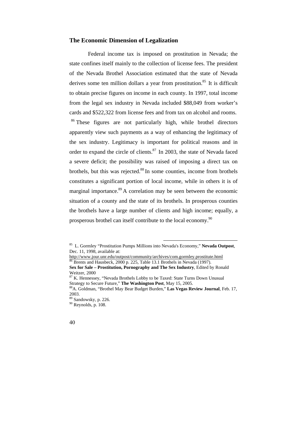### **The Economic Dimension of Legalization**

Federal income tax is imposed on prostitution in Nevada; the state confines itself mainly to the collection of license fees. The president of the Nevada Brothel Association estimated that the state of Nevada derives some ten million dollars a year from prostitution.<sup>85</sup> It is difficult to obtain precise figures on income in each county. In 1997, total income from the legal sex industry in Nevada included \$88,049 from worker's cards and \$522,322 from license fees and from tax on alcohol and rooms.

<sup>86</sup> These figures are not particularly high, while brothel directors apparently view such payments as a way of enhancing the legitimacy of the sex industry. Legitimacy is important for political reasons and in order to expand the circle of clients. $87$  In 2003, the state of Nevada faced a severe deficit; the possibility was raised of imposing a direct tax on brothels, but this was rejected.<sup>88</sup> In some counties, income from brothels constitutes a significant portion of local income, while in others it is of marginal importance.<sup>89</sup> A correlation may be seen between the economic situation of a county and the state of its brothels. In prosperous counties the brothels have a large number of clients and high income; equally, a prosperous brothel can itself contribute to the local economy.<sup>90</sup>

 $\overline{a}$ 

http://www.jour.unr.edu/outpost/community/archives/com.gormley.prostitute.html Brents and Hausbeck, 2000 p. 225, Table 13.1 Brothels in Nevada (1997).

 $89$  Sandowsky, p. 226.

 $90$  Reynolds, p. 108.



<sup>85</sup> L. Gormley "Prostitution Pumps Millions into Nevada's Economy," **Nevada Outpost**, Dec. 11, 1998, available at:

**Sex for Sale – Prostitution, Pornography and The Sex Industry**, Edited by Ronald Weitzer, 2000

<sup>&</sup>lt;sup>87</sup> K. Hennessey, "Nevada Brothels Lobby to be Taxed: State Turns Down Unusual Strategy to Secure Future," **The Washington Post***,* May 15, 2005.

<sup>88</sup>A. Goldman, "Brothel May Bear Budget Burden," **Las Vegas Review Journal**, Feb. 17, 2003.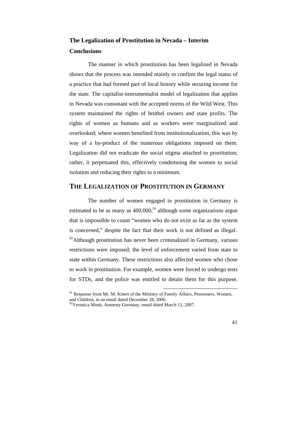# **The Legalization of Prostitution in Nevada – Interim Conclusions**

The manner in which prostitution has been legalized in Nevada shows that the process was intended mainly to confirm the legal status of a practice that had formed part of local history while securing income for the state. The capitalist-instrumentalist model of legalization that applies in Nevada was consonant with the accepted norms of the Wild West. This system maintained the rights of brothel owners and state profits. The rights of women as humans and as workers were marginalized and overlooked; where women benefited from institutionalization, this was by way of a by-product of the numerous obligations imposed on them. Legalization did not eradicate the social stigma attached to prostitution; rather, it perpetuated this, effectively condemning the women to social isolation and reducing their rights to a minimum.

# **THE LEGALIZATION OF PROSTITUTION IN GERMANY**

The number of women engaged in prostitution in Germany is estimated to be as many as  $400,000$ , $91$  although some organizations argue that is impossible to count "women who do not exist as far as the system is concerned," despite the fact that their work is not defined as illegal.  $92$ Although prostitution has never been criminalized in Germany, various restrictions were imposed; the level of enforcement varied from state to state within Germany. These restrictions also affected women who chose to work in prostitution. For example, women were forced to undergo tests for STDs, and the police was entitled to detain them for this purpose.



<sup>&</sup>lt;sup>91</sup> Response from Mr. M. Kinert of the Ministry of Family Affairs, Pensioners, Women, and Children, in an email dated December 28, 2006.

 $92$ Veronica Monk, Amnesty Germany, email dated March 12, 2007.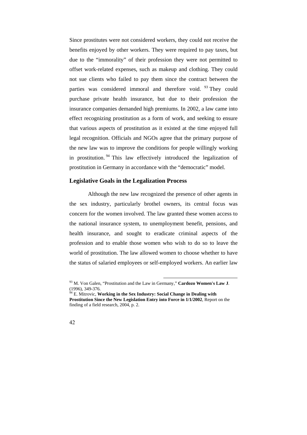Since prostitutes were not considered workers, they could not receive the benefits enjoyed by other workers. They were required to pay taxes, but due to the "immorality" of their profession they were not permitted to offset work-related expenses, such as makeup and clothing. They could not sue clients who failed to pay them since the contract between the parties was considered immoral and therefore void. <sup>93</sup> They could purchase private health insurance, but due to their profession the insurance companies demanded high premiums. In 2002, a law came into effect recognizing prostitution as a form of work, and seeking to ensure that various aspects of prostitution as it existed at the time enjoyed full legal recognition. Officials and NGOs agree that the primary purpose of the new law was to improve the conditions for people willingly working in prostitution. <sup>94</sup> This law effectively introduced the legalization of prostitution in Germany in accordance with the "democratic" model.

### **Legislative Goals in the Legalization Process**

Although the new law recognized the presence of other agents in the sex industry, particularly brothel owners, its central focus was concern for the women involved. The law granted these women access to the national insurance system, to unemployment benefit, pensions, and health insurance, and sought to eradicate criminal aspects of the profession and to enable those women who wish to do so to leave the world of prostitution. The law allowed women to choose whether to have the status of salaried employees or self-employed workers. An earlier law

<sup>&</sup>lt;sup>4</sup> E. Mitrovic, **Working in the Sex Industry: Social Change in Dealing with Prostitution Since the New Legislation Entry into Force in 1/1/2002***,* Report on the finding of a field research, 2004, p. 2.



<sup>93</sup> M. Von Galen, "Prostitution and the Law in Germany," **Cardozo Women's Law J***.* (1996), 349-376.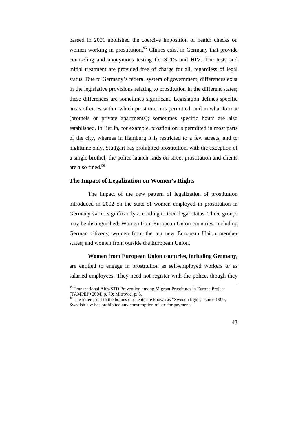passed in 2001 abolished the coercive imposition of health checks on women working in prostitution.<sup>95</sup> Clinics exist in Germany that provide counseling and anonymous testing for STDs and HIV. The tests and initial treatment are provided free of charge for all, regardless of legal status. Due to Germany's federal system of government, differences exist in the legislative provisions relating to prostitution in the different states; these differences are sometimes significant. Legislation defines specific areas of cities within which prostitution is permitted, and in what format (brothels or private apartments); sometimes specific hours are also established. In Berlin, for example, prostitution is permitted in most parts of the city, whereas in Hamburg it is restricted to a few streets, and to nighttime only. Stuttgart has prohibited prostitution, with the exception of a single brothel; the police launch raids on street prostitution and clients are also fined.<sup>96</sup>

### **The Impact of Legalization on Women's Rights**

The impact of the new pattern of legalization of prostitution introduced in 2002 on the state of women employed in prostitution in Germany varies significantly according to their legal status. Three groups may be distinguished: Women from European Union countries, including German citizens; women from the ten new European Union member states; and women from outside the European Union.

#### **Women from European Union countries, including Germany**,

 $\overline{a}$ 

are entitled to engage in prostitution as self-employed workers or as salaried employees. They need not register with the police, though they

The letters sent to the homes of clients are known as "Sweden lights;" since 1999, Swedish law has prohibited any consumption of sex for payment.



<sup>&</sup>lt;sup>95</sup> Transnational Aids/STD Prevention among Migrant Prostitutes in Europe Project (TAMPEP*)* 2004, p. 79; Mitrovic, p. 8.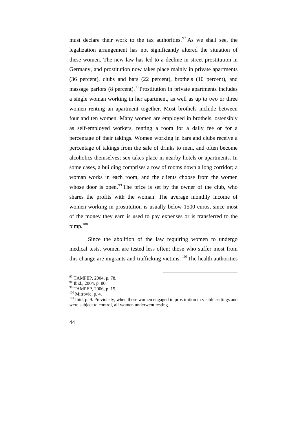must declare their work to the tax authorities.  $97$  As we shall see, the legalization arrangement has not significantly altered the situation of these women. The new law has led to a decline in street prostitution in Germany, and prostitution now takes place mainly in private apartments (36 percent), clubs and bars (22 percent), brothels (10 percent), and massage parlors (8 percent).<sup>98</sup> Prostitution in private apartments includes a single woman working in her apartment, as well as up to two or three women renting an apartment together. Most brothels include between four and ten women. Many women are employed in brothels, ostensibly as self-employed workers, renting a room for a daily fee or for a percentage of their takings. Women working in bars and clubs receive a percentage of takings from the sale of drinks to men, and often become alcoholics themselves; sex takes place in nearby hotels or apartments. In some cases, a building comprises a row of rooms down a long corridor; a woman works in each room, and the clients choose from the women whose door is open.<sup>99</sup> The price is set by the owner of the club, who shares the profits with the woman. The average monthly income of women working in prostitution is usually below 1500 euros, since most of the money they earn is used to pay expenses or is transferred to the pimp.<sup>100</sup>

Since the abolition of the law requiring women to undergo medical tests, women are tested less often; those who suffer most from this change are migrants and trafficking victims.  $^{101}$ The health authorities

<sup>&</sup>lt;sup>101</sup> Ibid, p. 9. Previously, when these women engaged in prostitution in visible settings and were subject to control, all women underwent testing.



<sup>97</sup> TAMPEP, 2004, p. 78.

<sup>98</sup> Ibid., 2004, p. 80.

<sup>99</sup> TAMPEP, 2006, p. 15.

<sup>100</sup> Mitrovic*,* p. 4.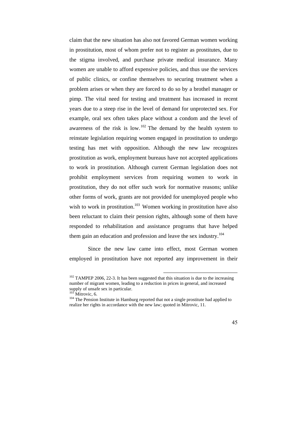claim that the new situation has also not favored German women working in prostitution, most of whom prefer not to register as prostitutes, due to the stigma involved, and purchase private medical insurance. Many women are unable to afford expensive policies, and thus use the services of public clinics, or confine themselves to securing treatment when a problem arises or when they are forced to do so by a brothel manager or pimp. The vital need for testing and treatment has increased in recent years due to a steep rise in the level of demand for unprotected sex. For example, oral sex often takes place without a condom and the level of awareness of the risk is low.<sup>102</sup> The demand by the health system to reinstate legislation requiring women engaged in prostitution to undergo testing has met with opposition. Although the new law recognizes prostitution as work, employment bureaus have not accepted applications to work in prostitution. Although current German legislation does not prohibit employment services from requiring women to work in prostitution, they do not offer such work for normative reasons; unlike other forms of work, grants are not provided for unemployed people who wish to work in prostitution.<sup>103</sup> Women working in prostitution have also been reluctant to claim their pension rights, although some of them have responded to rehabilitation and assistance programs that have helped them gain an education and profession and leave the sex industry.<sup>104</sup>

Since the new law came into effect, most German women employed in prostitution have not reported any improvement in their

<sup>&</sup>lt;sup>104</sup> The Pension Institute in Hamburg reported that not a single prostitute had applied to realize her rights in accordance with the new law; quoted in Mitrovic, 11.



 $102$  TAMPEP 2006, 22-3. It has been suggested that this situation is due to the increasing number of migrant women, leading to a reduction in prices in general, and increased supply of unsafe sex in particular.

Mitrovic, 6.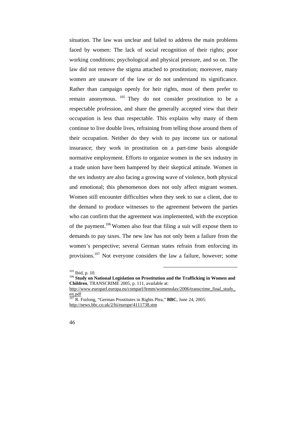situation. The law was unclear and failed to address the main problems faced by women: The lack of social recognition of their rights; poor working conditions; psychological and physical pressure, and so on. The law did not remove the stigma attached to prostitution; moreover, many women are unaware of the law or do not understand its significance. Rather than campaign openly for heir rights, most of them prefer to remain anonymous. <sup>105</sup> They do not consider prostitution to be a respectable profession, and share the generally accepted view that their occupation is less than respectable. This explains why many of them continue to live double lives, refraining from telling those around them of their occupation. Neither do they wish to pay income tax or national insurance; they work in prostitution on a part-time basis alongside normative employment. Efforts to organize women in the sex industry in a trade union have been hampered by their skeptical attitude. Women in the sex industry are also facing a growing wave of violence, both physical and emotional; this phenomenon does not only affect migrant women. Women still encounter difficulties when they seek to sue a client, due to the demand to produce witnesses to the agreement between the parties who can confirm that the agreement was implemented, with the exception of the payment.<sup>106</sup> Women also fear that filing a suit will expose them to demands to pay taxes. The new law has not only been a failure from the women's perspective; several German states refrain from enforcing its provisions.<sup>107</sup> Not everyone considers the law a failure, however; some

<sup>107</sup> R. Furlong, "German Prostitutes in Rights Plea," **BBC***,* June 24, 2005: http://news.bbc.co.uk/2/hi/europe/4111738.stm



<sup>105</sup> Ibid, p. 10.

<sup>106</sup> **Study on National Legislation on Prostitution and the Trafficking in Women and Children**, TRANSCRIME 2005, p. 111, available at:

http://www.europarl.europa.eu/comparl/femm/womensday/2006/transcrime\_final\_study\_  $\frac{\text{en.pdf}}{\frac{107}{10}}$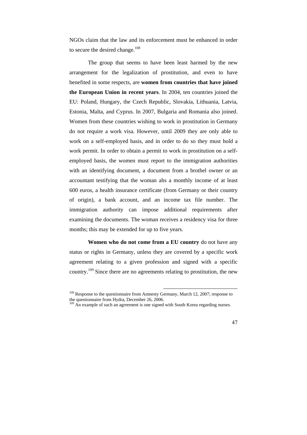NGOs claim that the law and its enforcement must be enhanced in order to secure the desired change.<sup>108</sup>

The group that seems to have been least harmed by the new arrangement for the legalization of prostitution, and even to have benefited in some respects, are **women from countries that have joined the European Union in recent years**. In 2004, ten countries joined the EU: Poland, Hungary, the Czech Republic, Slovakia, Lithuania, Latvia, Estonia, Malta, and Cyprus. In 2007, Bulgaria and Romania also joined. Women from these countries wishing to work in prostitution in Germany do not require a work visa. However, until 2009 they are only able to work on a self-employed basis, and in order to do so they must hold a work permit. In order to obtain a permit to work in prostitution on a selfemployed basis, the women must report to the immigration authorities with an identifying document, a document from a brothel owner or an accountant testifying that the woman ahs a monthly income of at least 600 euros, a health insurance certificate (from Germany or their country of origin), a bank account, and an income tax file number. The immigration authority can impose additional requirements after examining the documents. The woman receives a residency visa for three months; this may be extended for up to five years.

**Women who do not come from a EU country** do not have any status or rights in Germany, unless they are covered by a specific work agreement relating to a given profession and signed with a specific country.<sup>109</sup> Since there are no agreements relating to prostitution, the new

<sup>&</sup>lt;sup>109</sup> An example of such an agreement is one signed with South Korea regarding nurses.



<sup>&</sup>lt;sup>108</sup> Response to the questionnaire from Amnesty Germany, March 12, 2007; response to the questionnaire from Hydra, December 26, 2006.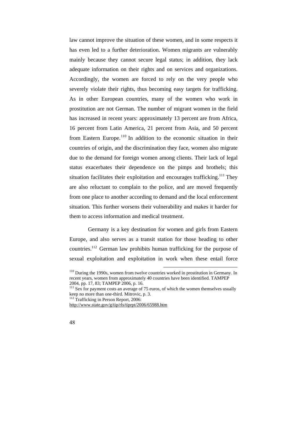law cannot improve the situation of these women, and in some respects it has even led to a further deterioration. Women migrants are vulnerably mainly because they cannot secure legal status; in addition, they lack adequate information on their rights and on services and organizations. Accordingly, the women are forced to rely on the very people who severely violate their rights, thus becoming easy targets for trafficking. As in other European countries, many of the women who work in prostitution are not German. The number of migrant women in the field has increased in recent years: approximately 13 percent are from Africa, 16 percent from Latin America, 21 percent from Asia, and 50 percent from Eastern Europe.<sup>110</sup> In addition to the economic situation in their countries of origin, and the discrimination they face, women also migrate due to the demand for foreign women among clients. Their lack of legal status exacerbates their dependence on the pimps and brothels; this situation facilitates their exploitation and encourages trafficking.<sup>111</sup> They are also reluctant to complain to the police, and are moved frequently from one place to another according to demand and the local enforcement situation. This further worsens their vulnerability and makes it harder for them to access information and medical treatment.

Germany is a key destination for women and girls from Eastern Europe, and also serves as a transit station for those heading to other countries.<sup>112</sup> German law prohibits human trafficking for the purpose of sexual exploitation and exploitation in work when these entail force

 $110$  During the 1990s, women from twelve countries worked in prostitution in Germany. In recent years, women from approximately 40 countries have been identified. TAMPEP 2004, pp. 17, 83; TAMPEP 2006, p. 16.

<sup>&</sup>lt;sup>111</sup> Sex for payment costs an average of 75 euros, of which the women themselves usually keep no more than one-third. Mitrovic, p. 3.

<sup>&</sup>lt;sup>112</sup> Trafficking in Person Report, 2006:

http://www.state.gov/g/tip/rls/tiprpt/2006/65988.htm

<sup>48</sup>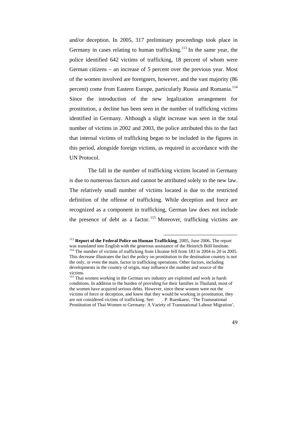and/or deception. In 2005, 317 preliminary proceedings took place in Germany in cases relating to human trafficking.<sup>113</sup> In the same year, the police identified 642 victims of trafficking, 18 percent of whom were German citizens – an increase of 5 percent over the previous year. Most of the women involved are foreigners, however, and the vast majority (86 percent) come from Eastern Europe, particularly Russia and Romania.<sup>114</sup> Since the introduction of the new legalization arrangement for prostitution, a decline has been seen in the number of trafficking victims identified in Germany. Although a slight increase was seen in the total number of victims in 2002 and 2003, the police attributed this to the fact that internal victims of trafficking began to be included in the figures in this period, alongside foreign victims, as required in accordance with the UN Protocol.

The fall in the number of trafficking victims located in Germany is due to numerous factors and cannot be attributed solely to the new law. The relatively small number of victims located is due to the restricted definition of the offense of trafficking. While deception and force are recognized as a component in trafficking, German law does not include the presence of debt as a factor.<sup>115</sup> Moreover, trafficking victims are

<sup>113</sup> **Report of the Federal Police on Human Trafficking***,* 2005, June 2006. The report was translated into English with the generous assistance of the Heinrich Böll Institute. <sup>114</sup> The number of victims of trafficking from Ukraine fell from 183 in 2004 to 20 in 2005. This decrease illustrates the fact the policy on prostitution in the destination country is not the only, or even the main, factor in trafficking operations. Other factors, including developments in the country of origin, may influence the number and source of the victims.

<sup>&</sup>lt;sup>115</sup> Thai women working in the German sex industry are exploited and work in harsh conditions. In addition to the burden of providing for their families in Thailand, most of the women have acquired serious debts. However, since these women were not the victims of force or deception, and knew that they would be working in prostitution, they are not considered victims of trafficking. See: . . P. Ruenkaew, 'The Transnational are not considered victims of trafficking. See: Prostitution of Thai Women to Germany: A Variety of Transnational Labour Migration',

<sup>49</sup>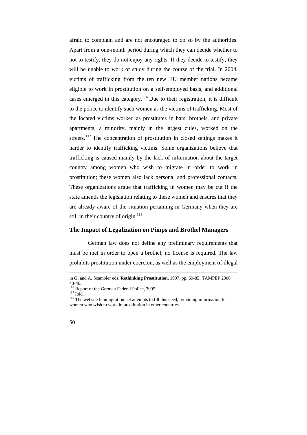afraid to complain and are not encouraged to do so by the authorities. Apart from a one-month period during which they can decide whether to not to testify, they do not enjoy any rights. If they decide to testify, they will be unable to work or study during the course of the trial. In 2004, victims of trafficking from the ten new EU member nations became eligible to work in prostitution on a self-employed basis, and additional cases emerged in this category.<sup>116</sup> Due to their registration, it is difficult to the police to identify such women as the victims of trafficking. Most of the located victims worked as prostitutes in bars, brothels, and private apartments; a minority, mainly in the largest cities, worked on the streets.<sup>117</sup> The concentration of prostitution in closed settings makes it harder to identify trafficking victims. Some organizations believe that trafficking is caused mainly by the lack of information about the target country among women who wish to migrate in order to work in prostitution; these women also lack personal and professional contacts. These organizations argue that trafficking in women may be cut if the state amends the legislation relating to these women and ensures that they are already aware of the situation pertaining in Germany when they are still in their country of origin. $118$ 

### **The Impact of Legalization on Pimps and Brothel Managers**

German law does not define any preliminary requirements that must be met in order to open a brothel; no license is required. The law prohibits prostitution under coercion, as well as the employment of illegal

<u>.</u>

in G. and A. Scambler eds. **Rethinking Prostitution,** 1997, pp. 69-85; TAMPEP 2006 43-46.

<sup>&</sup>lt;sup>116</sup> Report of the German Federal Police, 2005.

 $117$ Ibid.

<sup>&</sup>lt;sup>118</sup> The website femmigration.net attempts to fill this need, providing information for women who wish to work in prostitution in other countries.

<sup>50</sup>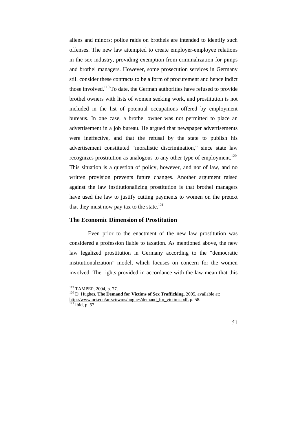aliens and minors; police raids on brothels are intended to identify such offenses. The new law attempted to create employer-employee relations in the sex industry, providing exemption from criminalization for pimps and brothel managers. However, some prosecution services in Germany still consider these contracts to be a form of procurement and hence indict those involved.<sup>119</sup> To date, the German authorities have refused to provide brothel owners with lists of women seeking work, and prostitution is not included in the list of potential occupations offered by employment bureaus. In one case, a brothel owner was not permitted to place an advertisement in a job bureau. He argued that newspaper advertisements were ineffective, and that the refusal by the state to publish his advertisement constituted "moralistic discrimination," since state law recognizes prostitution as analogous to any other type of employment.<sup>120</sup> This situation is a question of policy, however, and not of law, and no written provision prevents future changes. Another argument raised against the law institutionalizing prostitution is that brothel managers have used the law to justify cutting payments to women on the pretext that they must now pay tax to the state.<sup>121</sup>

## **The Economic Dimension of Prostitution**

Even prior to the enactment of the new law prostitution was considered a profession liable to taxation. As mentioned above, the new law legalized prostitution in Germany according to the "democratic institutionalization" model, which focuses on concern for the women involved. The rights provided in accordance with the law mean that this

 $\overline{a}$ 

 $121$  Ibid, p. 57.

51

<sup>119</sup> TAMPEP, 2004, p. 77.

<sup>&</sup>lt;sup>120</sup> D. Hughes, **The Demand for Victims of Sex Trafficking**, 2005, available at: http://www.uri.edu/artsci/wms/hughes/demand\_for\_victims.pdf, p. 58.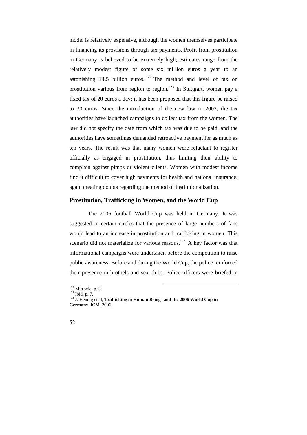model is relatively expensive, although the women themselves participate in financing its provisions through tax payments. Profit from prostitution in Germany is believed to be extremely high; estimates range from the relatively modest figure of some six million euros a year to an astonishing 14.5 billion euros. <sup>122</sup> The method and level of tax on prostitution various from region to region.<sup>123</sup> In Stuttgart, women pay a fixed tax of 20 euros a day; it has been proposed that this figure be raised to 30 euros. Since the introduction of the new law in 2002, the tax authorities have launched campaigns to collect tax from the women. The law did not specify the date from which tax was due to be paid, and the authorities have sometimes demanded retroactive payment for as much as ten years. The result was that many women were reluctant to register officially as engaged in prostitution, thus limiting their ability to complain against pimps or violent clients. Women with modest income find it difficult to cover high payments for health and national insurance, again creating doubts regarding the method of institutionalization.

### **Prostitution, Trafficking in Women, and the World Cup**

The 2006 football World Cup was held in Germany. It was suggested in certain circles that the presence of large numbers of fans would lead to an increase in prostitution and trafficking in women. This scenario did not materialize for various reasons.<sup>124</sup> A key factor was that informational campaigns were undertaken before the competition to raise public awareness. Before and during the World Cup, the police reinforced their presence in brothels and sex clubs. Police officers were briefed in

<sup>124</sup> J. Hennig et al, **Trafficking in Human Beings and the 2006 World Cup in Germany***,* IOM, 2006.



<sup>122</sup> Mitrovic, p. 3.

<sup>123</sup> Ibid, p. 7.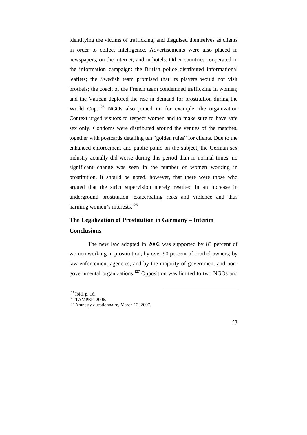identifying the victims of trafficking, and disguised themselves as clients in order to collect intelligence. Advertisements were also placed in newspapers, on the internet, and in hotels. Other countries cooperated in the information campaign: the British police distributed informational leaflets; the Swedish team promised that its players would not visit brothels; the coach of the French team condemned trafficking in women; and the Vatican deplored the rise in demand for prostitution during the World Cup.<sup>125</sup> NGOs also joined in; for example, the organization Context urged visitors to respect women and to make sure to have safe sex only. Condoms were distributed around the venues of the matches, together with postcards detailing ten "golden rules" for clients. Due to the enhanced enforcement and public panic on the subject, the German sex industry actually did worse during this period than in normal times; no significant change was seen in the number of women working in prostitution. It should be noted, however, that there were those who argued that the strict supervision merely resulted in an increase in underground prostitution, exacerbating risks and violence and thus harming women's interests.<sup>126</sup>

# **The Legalization of Prostitution in Germany – Interim Conclusions**

The new law adopted in 2002 was supported by 85 percent of women working in prostitution; by over 90 percent of brothel owners; by law enforcement agencies; and by the majority of government and nongovernmental organizations.<sup>127</sup> Opposition was limited to two NGOs and

 $125$  Ibid, p. 16.

<sup>126</sup> TAMPEP, 2006.

 $127$  Amnesty questionnaire, March 12, 2007.

<sup>53</sup>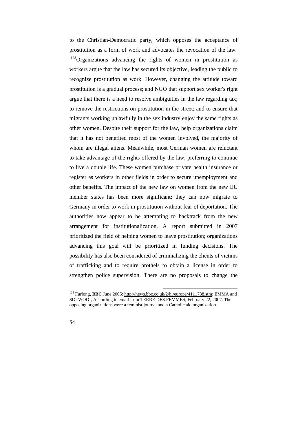to the Christian-Democratic party, which opposes the acceptance of prostitution as a form of work and advocates the revocation of the law.

 $128$ Organizations advancing the rights of women in prostitution as workers argue that the law has secured its objective, leading the public to recognize prostitution as work. However, changing the attitude toward prostitution is a gradual process; and NGO that support sex worker's right argue that there is a need to resolve ambiguities in the law regarding tax; to remove the restrictions on prostitution in the street; and to ensure that migrants working unlawfully in the sex industry enjoy the same rights as other women. Despite their support for the law, help organizations claim that it has not benefited most of the women involved, the majority of whom are illegal aliens. Meanwhile, most German women are reluctant to take advantage of the rights offered by the law, preferring to continue to live a double life. These women purchase private health insurance or register as workers in other fields in order to secure unemployment and other benefits. The impact of the new law on women from the new EU member states has been more significant; they can now migrate to Germany in order to work in prostitution without fear of deportation. The authorities now appear to be attempting to backtrack from the new arrangement for institutionalization. A report submitted in 2007 prioritized the field of helping women to leave prostitution; organizations advancing this goal will be prioritized in funding decisions. The possibility has also been considered of criminalizing the clients of victims of trafficking and to require brothels to obtain a license in order to strengthen police supervision. There are no proposals to change the



<sup>128</sup> Furlong, **BBC** June 2005: http://news.bbc.co.uk/2/hi/europe/4111738.stm; EMMA and SOLWODI, According to email from TERRE DES FEMMES, February 22, 2007. The opposing organizations were a feminist journal and a Catholic aid organization.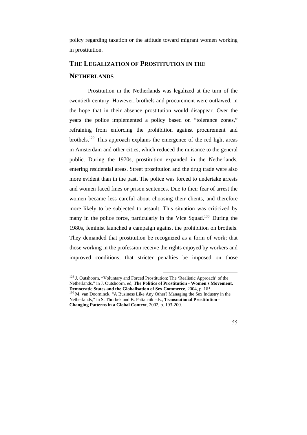policy regarding taxation or the attitude toward migrant women working in prostitution.

### **THE LEGALIZATION OF PROSTITUTION IN THE**

## **NETHERLANDS**

Prostitution in the Netherlands was legalized at the turn of the twentieth century. However, brothels and procurement were outlawed, in the hope that in their absence prostitution would disappear. Over the years the police implemented a policy based on "tolerance zones," refraining from enforcing the prohibition against procurement and brothels.<sup>129</sup> This approach explains the emergence of the red light areas in Amsterdam and other cities, which reduced the nuisance to the general public. During the 1970s, prostitution expanded in the Netherlands, entering residential areas. Street prostitution and the drug trade were also more evident than in the past. The police was forced to undertake arrests and women faced fines or prison sentences. Due to their fear of arrest the women became less careful about choosing their clients, and therefore more likely to be subjected to assault. This situation was criticized by many in the police force, particularly in the Vice Squad.<sup>130</sup> During the 1980s, feminist launched a campaign against the prohibition on brothels. They demanded that prostitution be recognized as a form of work; that those working in the profession receive the rights enjoyed by workers and improved conditions; that stricter penalties be imposed on those

<sup>&</sup>lt;sup>129</sup> J. Outshoorn, "Voluntary and Forced Prostitution: The 'Realistic Approach' of the Netherlands," in J. Outshoorn, ed, **The Politics of Prostitution - Women's Movement, Democratic States and the Globalisation of Sex Commerce**, 2004, p. 185. <sup>130</sup> M. van Doorninck, "A Business Like Any Other? Managing the Sex Industry in the Netherlands," in S. Thorbek and B. Pattanaik eds., **Transnational Prostitution - Changing Patterns in a Global Context**, 2002, p. 193-200.

<sup>55</sup>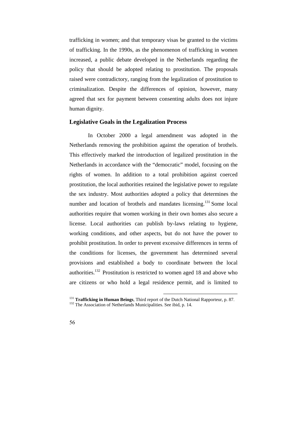trafficking in women; and that temporary visas be granted to the victims of trafficking. In the 1990s, as the phenomenon of trafficking in women increased, a public debate developed in the Netherlands regarding the policy that should be adopted relating to prostitution. The proposals raised were contradictory, ranging from the legalization of prostitution to criminalization. Despite the differences of opinion, however, many agreed that sex for payment between consenting adults does not injure human dignity.

### **Legislative Goals in the Legalization Process**

In October 2000 a legal amendment was adopted in the Netherlands removing the prohibition against the operation of brothels. This effectively marked the introduction of legalized prostitution in the Netherlands in accordance with the "democratic" model, focusing on the rights of women. In addition to a total prohibition against coerced prostitution, the local authorities retained the legislative power to regulate the sex industry. Most authorities adopted a policy that determines the number and location of brothels and mandates licensing.<sup>131</sup> Some local authorities require that women working in their own homes also secure a license. Local authorities can publish by-laws relating to hygiene, working conditions, and other aspects, but do not have the power to prohibit prostitution. In order to prevent excessive differences in terms of the conditions for licenses, the government has determined several provisions and established a body to coordinate between the local authorities.<sup>132</sup> Prostitution is restricted to women aged 18 and above who are citizens or who hold a legal residence permit, and is limited to



<sup>131</sup> **Trafficking in Human Beings**, Third report of the Dutch National Rapporteur, p. 87. <sup>132</sup> The Association of Netherlands Municipalities. See ibid, p. 14.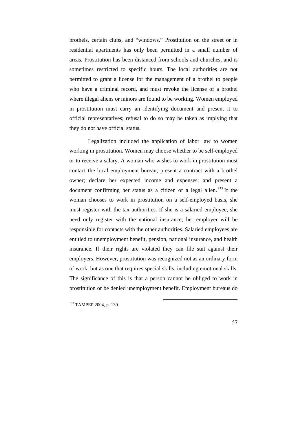brothels, certain clubs, and "windows." Prostitution on the street or in residential apartments has only been permitted in a small number of areas. Prostitution has been distanced from schools and churches, and is sometimes restricted to specific hours. The local authorities are not permitted to grant a license for the management of a brothel to people who have a criminal record, and must revoke the license of a brothel where illegal aliens or minors are found to be working. Women employed in prostitution must carry an identifying document and present it to official representatives; refusal to do so may be taken as implying that they do not have official status.

Legalization included the application of labor law to women working in prostitution. Women may choose whether to be self-employed or to receive a salary. A woman who wishes to work in prostitution must contact the local employment bureau; present a contract with a brothel owner; declare her expected income and expenses; and present a document confirming her status as a citizen or a legal alien.<sup>133</sup> If the woman chooses to work in prostitution on a self-employed basis, she must register with the tax authorities. If she is a salaried employee, she need only register with the national insurance; her employer will be responsible for contacts with the other authorities. Salaried employees are entitled to unemployment benefit, pension, national insurance, and health insurance. If their rights are violated they can file suit against their employers. However, prostitution was recognized not as an ordinary form of work, but as one that requires special skills, including emotional skills. The significance of this is that a person cannot be obliged to work in prostitution or be denied unemployment benefit. Employment bureaus do

 $\overline{a}$ 

<sup>133</sup> TAMPEP 2004, p. 139.

#### 57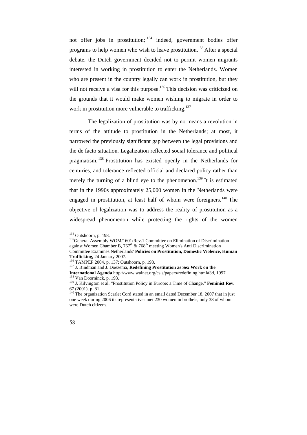not offer jobs in prostitution; <sup>134</sup> indeed, government bodies offer programs to help women who wish to leave prostitution.<sup>135</sup> After a special debate, the Dutch government decided not to permit women migrants interested in working in prostitution to enter the Netherlands. Women who are present in the country legally can work in prostitution, but they will not receive a visa for this purpose.<sup>136</sup> This decision was criticized on the grounds that it would make women wishing to migrate in order to work in prostitution more vulnerable to trafficking.<sup>137</sup>

The legalization of prostitution was by no means a revolution in terms of the attitude to prostitution in the Netherlands; at most, it narrowed the previously significant gap between the legal provisions and the de facto situation. Legalization reflected social tolerance and political pragmatism. <sup>138</sup> Prostitution has existed openly in the Netherlands for centuries, and tolerance reflected official and declared policy rather than merely the turning of a blind eye to the phenomenon.<sup>139</sup> It is estimated that in the 1990s approximately 25,000 women in the Netherlands were engaged in prostitution, at least half of whom were foreigners.<sup>140</sup> The objective of legalization was to address the reality of prostitution as a widespread phenomenon while protecting the rights of the women

<sup>&</sup>lt;sup>140</sup> The organization Scarlet Cord stated in an email dated December 18, 2007 that in just one week during 2006 its representatives met 230 women in brothels, only 38 of whom were Dutch citizens.



<sup>134</sup> Outshoorn, p. 198.

<sup>&</sup>lt;sup>135</sup>General Assembly WOM/1601/Rev.1 Committee on Elimination of Discrimination against Women Chamber B,  $767<sup>th</sup>$  &  $768<sup>th</sup>$  meeting Women's Anti Discrimination Committee Examines Netherlands' **Policies on Prostitution, Domestic Violence, Human Trafficking,** 24 January 2007.

<sup>136</sup> TAMPEP 2004, p. 137; Outshoorn, p. 198.

<sup>&</sup>lt;sup>137</sup> J. Bindman and J. Doezema, Redefining Prostitution as Sex Work on the

**International Agenda** http://www.walnet.org/csis/papers/redefining.html#3d, 1997 <sup>138</sup> Van Doorninck, p. 193.

<sup>139</sup> J. Kilvington et al. "Prostitution Policy in Europe: a Time of Change," **Feminist Rev***.* 67 (2001), p. 81.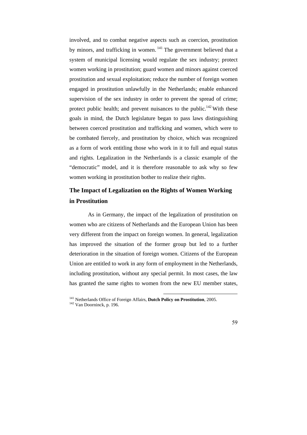involved, and to combat negative aspects such as coercion, prostitution by minors, and trafficking in women.<sup>141</sup> The government believed that a system of municipal licensing would regulate the sex industry; protect women working in prostitution; guard women and minors against coerced prostitution and sexual exploitation; reduce the number of foreign women engaged in prostitution unlawfully in the Netherlands; enable enhanced supervision of the sex industry in order to prevent the spread of crime; protect public health; and prevent nuisances to the public.<sup>142</sup> With these goals in mind, the Dutch legislature began to pass laws distinguishing between coerced prostitution and trafficking and women, which were to be combated fiercely, and prostitution by choice, which was recognized as a form of work entitling those who work in it to full and equal status and rights. Legalization in the Netherlands is a classic example of the "democratic" model, and it is therefore reasonable to ask why so few women working in prostitution bother to realize their rights.

# **The Impact of Legalization on the Rights of Women Working in Prostitution**

As in Germany, the impact of the legalization of prostitution on women who are citizens of Netherlands and the European Union has been very different from the impact on foreign women. In general, legalization has improved the situation of the former group but led to a further deterioration in the situation of foreign women. Citizens of the European Union are entitled to work in any form of employment in the Netherlands, including prostitution, without any special permit. In most cases, the law has granted the same rights to women from the new EU member states,

 $\overline{a}$ <sup>141</sup> Netherlands Office of Foreign Affairs, **Dutch Policy on Prostitution***,* 2005. <sup>142</sup> Van Doorninck, p. 196.

<sup>59</sup>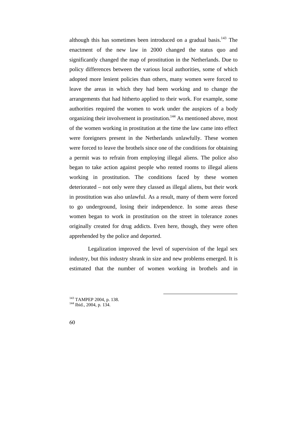although this has sometimes been introduced on a gradual basis.<sup>143</sup> The enactment of the new law in 2000 changed the status quo and significantly changed the map of prostitution in the Netherlands. Due to policy differences between the various local authorities, some of which adopted more lenient policies than others, many women were forced to leave the areas in which they had been working and to change the arrangements that had hitherto applied to their work. For example, some authorities required the women to work under the auspices of a body organizing their involvement in prostitution.<sup>144</sup> As mentioned above, most of the women working in prostitution at the time the law came into effect were foreigners present in the Netherlands unlawfully. These women were forced to leave the brothels since one of the conditions for obtaining a permit was to refrain from employing illegal aliens. The police also began to take action against people who rented rooms to illegal aliens working in prostitution. The conditions faced by these women deteriorated – not only were they classed as illegal aliens, but their work in prostitution was also unlawful. As a result, many of them were forced to go underground, losing their independence. In some areas these women began to work in prostitution on the street in tolerance zones originally created for drug addicts. Even here, though, they were often apprehended by the police and deported.

Legalization improved the level of supervision of the legal sex industry, but this industry shrank in size and new problems emerged. It is estimated that the number of women working in brothels and in

<sup>143</sup> TAMPEP 2004, p. 138. <sup>144</sup> Ibid., 2004, p. 134.

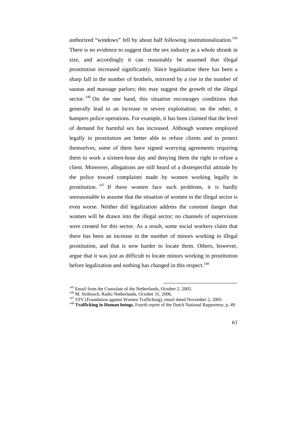authorized "windows" fell by about half following institutionalization.<sup>145</sup> There is no evidence to suggest that the sex industry as a whole shrank in size, and accordingly it can reasonably be assumed that illegal prostitution increased significantly. Since legalization there has been a sharp fall in the number of brothels, mirrored by a rise in the number of saunas and massage parlors; this may suggest the growth of the illegal sector.<sup>146</sup> On the one hand, this situation encourages conditions that generally lead to an increase in severe exploitation; on the other, it hampers police operations. For example, it has been claimed that the level of demand for harmful sex has increased. Although women employed legally in prostitution are better able to refuse clients and to protect themselves, some of them have signed worrying agreements requiring them to work a sixteen-hour day and denying them the right to refuse a client. Moreover, allegations are still heard of a disrespectful attitude by the police toward complaints made by women working legally in prostitution. <sup>147</sup> If these women face such problems, it is hardly unreasonable to assume that the situation of women in the illegal sector is even worse. Neither did legalization address the constant danger that women will be drawn into the illegal sector; no channels of supervision were created for this sector. As a result, some social workers claim that there has been an increase in the number of minors working in illegal prostitution, and that is now harder to locate them. Others, however, argue that it was just as difficult to locate minors working in prostitution before legalization and nothing has changed in this respect.<sup>148</sup>

<sup>&</sup>lt;sup>145</sup> Email from the Consulate of the Netherlands, October 2, 2005.

<sup>&</sup>lt;sup>146</sup> M. Stribosch, Radio Netherlands, October 31, 2006.

 $147$  STV (Foundation against Women Trafficking), email dated November 2, 2005.

<sup>148</sup> **Trafficking in Human beings**, Fourth report of the Dutch National Rapporteur, p. 49.

<sup>61</sup>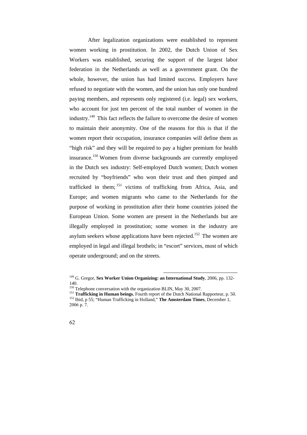After legalization organizations were established to represent women working in prostitution. In 2002, the Dutch Union of Sex Workers was established, securing the support of the largest labor federation in the Netherlands as well as a government grant. On the whole, however, the union has had limited success. Employers have refused to negotiate with the women, and the union has only one hundred paying members, and represents only registered (i.e. legal) sex workers, who account for just ten percent of the total number of women in the industry.<sup>149</sup> This fact reflects the failure to overcome the desire of women to maintain their anonymity. One of the reasons for this is that if the women report their occupation, insurance companies will define them as "high risk" and they will be required to pay a higher premium for health insurance.<sup>150</sup> Women from diverse backgrounds are currently employed in the Dutch sex industry: Self-employed Dutch women; Dutch women recruited by "boyfriends" who won their trust and then pimped and trafficked in them; <sup>151</sup> victims of trafficking from Africa, Asia, and Europe; and women migrants who came to the Netherlands for the purpose of working in prostitution after their home countries joined the European Union. Some women are present in the Netherlands but are illegally employed in prostitution; some women in the industry are asylum seekers whose applications have been rejected.<sup>152</sup> The women are employed in legal and illegal brothels; in "escort" services, most of which operate underground; and on the streets.

<sup>151</sup> **Trafficking in Human beings**, Fourth report of the Dutch National Rapporteur, p. 50. <sup>152</sup> Ibid, p 55; "Human Trafficking in Holland," **The Amsterdam Times**, December 1, 2006 p. 7.



<sup>149</sup> G. Gregor, **Sex Worker Union Organizing: an International Study***,* 2006, pp. 132- 140.

<sup>&</sup>lt;sup>150</sup> Telephone conversation with the organization BLIN, May 30, 2007.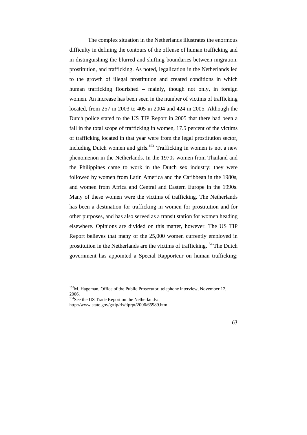The complex situation in the Netherlands illustrates the enormous difficulty in defining the contours of the offense of human trafficking and in distinguishing the blurred and shifting boundaries between migration, prostitution, and trafficking. As noted, legalization in the Netherlands led to the growth of illegal prostitution and created conditions in which human trafficking flourished – mainly, though not only, in foreign women. An increase has been seen in the number of victims of trafficking located, from 257 in 2003 to 405 in 2004 and 424 in 2005. Although the Dutch police stated to the US TIP Report in 2005 that there had been a fall in the total scope of trafficking in women, 17.5 percent of the victims of trafficking located in that year were from the legal prostitution sector, including Dutch women and girls.<sup>153</sup> Trafficking in women is not a new phenomenon in the Netherlands. In the 1970s women from Thailand and the Philippines came to work in the Dutch sex industry; they were followed by women from Latin America and the Caribbean in the 1980s, and women from Africa and Central and Eastern Europe in the 1990s. Many of these women were the victims of trafficking. The Netherlands has been a destination for trafficking in women for prostitution and for other purposes, and has also served as a transit station for women heading elsewhere. Opinions are divided on this matter, however. The US TIP Report believes that many of the 25,000 women currently employed in prostitution in the Netherlands are the victims of trafficking.<sup>154</sup> The Dutch government has appointed a Special Rapporteur on human trafficking;

<sup>&</sup>lt;sup>153</sup>M. Hageman, Office of the Public Prosecutor; telephone interview, November 12, 2006.

<sup>&</sup>lt;sup>154</sup>See the US Trade Report on the Netherlands:

http://www.state.gov/g/tip/rls/tiprpt/2006/65989.htm

<sup>63</sup>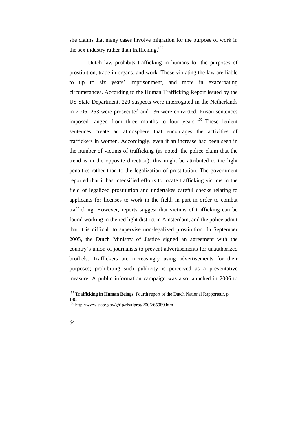she claims that many cases involve migration for the purpose of work in the sex industry rather than trafficking.<sup>155</sup>

Dutch law prohibits trafficking in humans for the purposes of prostitution, trade in organs, and work. Those violating the law are liable to up to six years' imprisonment, and more in exacerbating circumstances. According to the Human Trafficking Report issued by the US State Department, 220 suspects were interrogated in the Netherlands in 2006; 253 were prosecuted and 136 were convicted. Prison sentences imposed ranged from three months to four years. <sup>156</sup> These lenient sentences create an atmosphere that encourages the activities of traffickers in women. Accordingly, even if an increase had been seen in the number of victims of trafficking (as noted, the police claim that the trend is in the opposite direction), this might be attributed to the light penalties rather than to the legalization of prostitution. The government reported that it has intensified efforts to locate trafficking victims in the field of legalized prostitution and undertakes careful checks relating to applicants for licenses to work in the field, in part in order to combat trafficking. However, reports suggest that victims of trafficking can be found working in the red light district in Amsterdam, and the police admit that it is difficult to supervise non-legalized prostitution. In September 2005, the Dutch Ministry of Justice signed an agreement with the country's union of journalists to prevent advertisements for unauthorized brothels. Traffickers are increasingly using advertisements for their purposes; prohibiting such publicity is perceived as a preventative measure. A public information campaign was also launched in 2006 to



<sup>155</sup> **Trafficking in Human Beings**, Fourth report of the Dutch National Rapporteur, p. 140. <sup>156</sup> http://www.state.gov/g/tip/rls/tiprpt/2006/65989.htm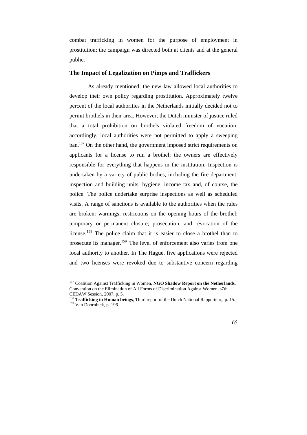combat trafficking in women for the purpose of employment in prostitution; the campaign was directed both at clients and at the general public.

### **The Impact of Legalization on Pimps and Traffickers**

As already mentioned, the new law allowed local authorities to develop their own policy regarding prostitution. Approximately twelve percent of the local authorities in the Netherlands initially decided not to permit brothels in their area. However, the Dutch minister of justice ruled that a total prohibition on brothels violated freedom of vocation; accordingly, local authorities were not permitted to apply a sweeping ban.<sup>157</sup> On the other hand, the government imposed strict requirements on applicants for a license to run a brothel; the owners are effectively responsible for everything that happens in the institution. Inspection is undertaken by a variety of public bodies, including the fire department, inspection and building units, hygiene, income tax and, of course, the police. The police undertake surprise inspections as well as scheduled visits. A range of sanctions is available to the authorities when the rules are broken: warnings; restrictions on the opening hours of the brothel; temporary or permanent closure; prosecution; and revocation of the license.<sup>158</sup> The police claim that it is easier to close a brothel than to prosecute its manager.<sup>159</sup> The level of enforcement also varies from one local authority to another. In The Hague, five applications were rejected and two licenses were revoked due to substantive concern regarding

<sup>158</sup> **Trafficking in Human beings***,* Third report of the Dutch National Rapporteur,, p. 15.  $159$  Van Doorninck, p. 196.



<sup>157</sup> Coalition Against Trafficking in Women, **NGO Shadow Report on the Netherlands**, Convention on the Elimination of All Forms of Discrimination Against Women, s7th CEDAW Session, 2007, p. 5.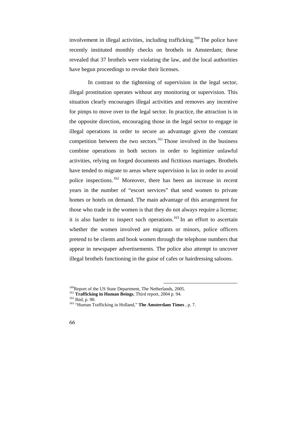involvement in illegal activities, including trafficking.<sup>160</sup> The police have recently instituted monthly checks on brothels in Amsterdam; these revealed that 37 brothels were violating the law, and the local authorities have begun proceedings to revoke their licenses.

In contrast to the tightening of supervision in the legal sector, illegal prostitution operates without any monitoring or supervision. This situation clearly encourages illegal activities and removes any incentive for pimps to move over to the legal sector. In practice, the attraction is in the opposite direction, encouraging those in the legal sector to engage in illegal operations in order to secure an advantage given the constant competition between the two sectors.<sup>161</sup> Those involved in the business combine operations in both sectors in order to legitimize unlawful activities, relying on forged documents and fictitious marriages. Brothels have tended to migrate to areas where supervision is lax in order to avoid police inspections. <sup>162</sup> Moreover, there has been an increase in recent years in the number of "escort services" that send women to private homes or hotels on demand. The main advantage of this arrangement for those who trade in the women is that they do not always require a license; it is also harder to inspect such operations.<sup>163</sup> In an effort to ascertain whether the women involved are migrants or minors, police officers pretend to be clients and book women through the telephone numbers that appear in newspaper advertisements. The police also attempt to uncover illegal brothels functioning in the guise of cafes or hairdressing saloons.

<sup>&</sup>lt;sup>160</sup>Report of the US State Department, The Netherlands, 2005.

<sup>161</sup> **Trafficking in Human Beings**, Third report, 2004 p. 94.

<sup>162</sup> Ibid, p. 90.

<sup>163</sup> "Human Trafficking in Holland," **The Amsterdam Times** , p. 7.

<sup>66</sup>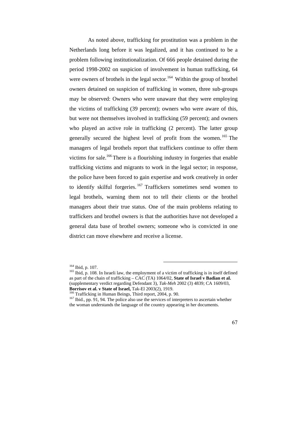As noted above, trafficking for prostitution was a problem in the Netherlands long before it was legalized, and it has continued to be a problem following institutionalization. Of 666 people detained during the period 1998-2002 on suspicion of involvement in human trafficking, 64 were owners of brothels in the legal sector.<sup>164</sup> Within the group of brothel owners detained on suspicion of trafficking in women, three sub-groups may be observed: Owners who were unaware that they were employing the victims of trafficking (39 percent); owners who were aware of this, but were not themselves involved in trafficking (59 percent); and owners who played an active role in trafficking (2 percent). The latter group generally secured the highest level of profit from the women.<sup>165</sup> The managers of legal brothels report that traffickers continue to offer them victims for sale.<sup>166</sup> There is a flourishing industry in forgeries that enable trafficking victims and migrants to work in the legal sector; in response, the police have been forced to gain expertise and work creatively in order to identify skilful forgeries.<sup>167</sup> Traffickers sometimes send women to legal brothels, warning them not to tell their clients or the brothel managers about their true status. One of the main problems relating to traffickers and brothel owners is that the authorities have not developed a general data base of brothel owners; someone who is convicted in one district can move elsewhere and receive a license.

 $\overline{a}$ 

Trafficking in Human Beings, Third report, 2004, p. 90.

<sup>164</sup> Ibid, p. 107.

<sup>&</sup>lt;sup>165</sup> Ibid, p. 108. In Israeli law, the employment of a victim of trafficking is in itself defined as part of the chain of trafficking – CAC (TA) 1064/02, **State of Israel v Badian et al.** (supplementary verdict regarding Defendant 3), *Tak-Meh* 2002 (3) 4839; CA 1609/03, **Borrisov et al. v State of Israel,** Tak-El 2003(2), 1919.

<sup>&</sup>lt;sup>167</sup> Ibid., pp. 91, 94. The police also use the services of interpreters to ascertain whether the woman understands the language of the country appearing in her documents.

<sup>67</sup>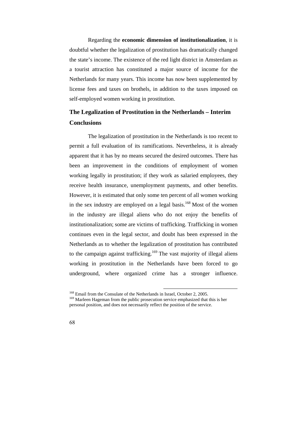Regarding the **economic dimension of institutionalization**, it is doubtful whether the legalization of prostitution has dramatically changed the state's income. The existence of the red light district in Amsterdam as a tourist attraction has constituted a major source of income for the Netherlands for many years. This income has now been supplemented by license fees and taxes on brothels, in addition to the taxes imposed on self-employed women working in prostitution.

# **The Legalization of Prostitution in the Netherlands – Interim Conclusions**

The legalization of prostitution in the Netherlands is too recent to permit a full evaluation of its ramifications. Nevertheless, it is already apparent that it has by no means secured the desired outcomes. There has been an improvement in the conditions of employment of women working legally in prostitution; if they work as salaried employees, they receive health insurance, unemployment payments, and other benefits. However, it is estimated that only some ten percent of all women working in the sex industry are employed on a legal basis.<sup>168</sup> Most of the women in the industry are illegal aliens who do not enjoy the benefits of institutionalization; some are victims of trafficking. Trafficking in women continues even in the legal sector, and doubt has been expressed in the Netherlands as to whether the legalization of prostitution has contributed to the campaign against trafficking.<sup>169</sup> The vast majority of illegal aliens working in prostitution in the Netherlands have been forced to go underground, where organized crime has a stronger influence.



<sup>&</sup>lt;sup>168</sup> Email from the Consulate of the Netherlands in Israel, October 2, 2005. <sup>169</sup> Marleen Hageman from the public prosecution service emphasized that this is her personal position, and does not necessarily reflect the position of the service.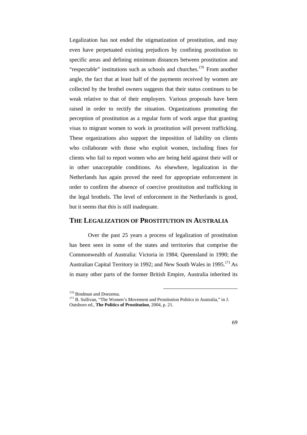Legalization has not ended the stigmatization of prostitution, and may even have perpetuated existing prejudices by confining prostitution to specific areas and defining minimum distances between prostitution and "respectable" institutions such as schools and churches.<sup>170</sup> From another angle, the fact that at least half of the payments received by women are collected by the brothel owners suggests that their status continues to be weak relative to that of their employers. Various proposals have been raised in order to rectify the situation. Organizations promoting the perception of prostitution as a regular form of work argue that granting visas to migrant women to work in prostitution will prevent trafficking. These organizations also support the imposition of liability on clients who collaborate with those who exploit women, including fines for clients who fail to report women who are being held against their will or in other unacceptable conditions. As elsewhere, legalization in the Netherlands has again proved the need for appropriate enforcement in order to confirm the absence of coercive prostitution and trafficking in the legal brothels. The level of enforcement in the Netherlands is good, but it seems that this is still inadequate.

## **THE LEGALIZATION OF PROSTITUTION IN AUSTRALIA**

Over the past 25 years a process of legalization of prostitution has been seen in some of the states and territories that comprise the Commonwealth of Australia: Victoria in 1984; Queensland in 1990; the Australian Capital Territory in 1992; and New South Wales in 1995.<sup>171</sup> As in many other parts of the former British Empire, Australia inherited its

<sup>&</sup>lt;sup>170</sup> Bindman and Doezema.

<sup>&</sup>lt;sup>171</sup> B. Sullivan, "The Women's Movement and Prostitution Politics in Australia," in J. Outsborn ed., **The Politics of Prostitution**, 2004, p. 21.

<sup>69</sup>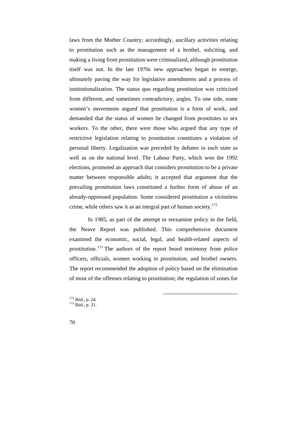laws from the Mother Country; accordingly, ancillary activities relating to prostitution such as the management of a brothel, soliciting, and making a living from prostitution were criminalized, although prostitution itself was not. In the late 1970s new approaches began to emerge, ultimately paving the way for legislative amendments and a process of institutionalization. The status quo regarding prostitution was criticized from different, and sometimes contradictory, angles. To one side, some women's movements argued that prostitution is a form of work, and demanded that the status of women be changed from prostitutes to sex workers. To the other, there were those who argued that any type of restrictive legislation relating to prostitution constitutes a violation of personal liberty. Legalization was preceded by debates in each state as well as on the national level. The Labour Party, which won the 1992 elections, promoted an approach that considers prostitution to be a private matter between responsible adults; it accepted that argument that the prevailing prostitution laws constituted a further form of abuse of an already-oppressed population. Some considered prostitution a victimless crime, while others saw it as an integral part of human society.<sup>172</sup>

In 1985, as part of the attempt to reexamine policy in the field, the Neave Report was published. This comprehensive document examined the economic, social, legal, and health-related aspects of prostitution.<sup>173</sup> The authors of the report heard testimony from police officers, officials, women working in prostitution, and brothel owners. The report recommended the adoption of policy based on the elimination of most of the offenses relating to prostitution; the regulation of zones for

 $\overline{a}$ 

<sup>172</sup> Ibid., p. 24. <sup>173</sup> Ibid., p. 31.

70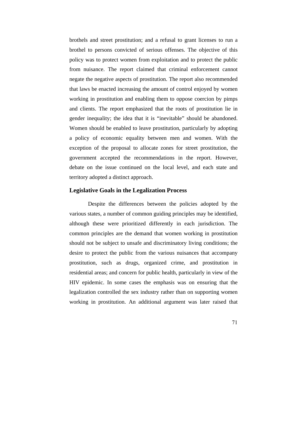brothels and street prostitution; and a refusal to grant licenses to run a brothel to persons convicted of serious offenses. The objective of this policy was to protect women from exploitation and to protect the public from nuisance. The report claimed that criminal enforcement cannot negate the negative aspects of prostitution. The report also recommended that laws be enacted increasing the amount of control enjoyed by women working in prostitution and enabling them to oppose coercion by pimps and clients. The report emphasized that the roots of prostitution lie in gender inequality; the idea that it is "inevitable" should be abandoned. Women should be enabled to leave prostitution, particularly by adopting a policy of economic equality between men and women. With the exception of the proposal to allocate zones for street prostitution, the government accepted the recommendations in the report. However, debate on the issue continued on the local level, and each state and territory adopted a distinct approach.

### **Legislative Goals in the Legalization Process**

Despite the differences between the policies adopted by the various states, a number of common guiding principles may be identified, although these were prioritized differently in each jurisdiction. The common principles are the demand that women working in prostitution should not be subject to unsafe and discriminatory living conditions; the desire to protect the public from the various nuisances that accompany prostitution, such as drugs, organized crime, and prostitution in residential areas; and concern for public health, particularly in view of the HIV epidemic. In some cases the emphasis was on ensuring that the legalization controlled the sex industry rather than on supporting women working in prostitution. An additional argument was later raised that

71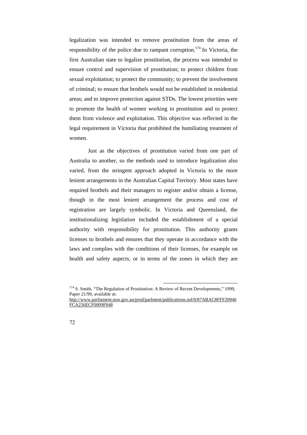legalization was intended to remove prostitution from the areas of responsibility of the police due to rampant corruption.<sup>174</sup> In Victoria, the first Australian state to legalize prostitution, the process was intended to ensure control and supervision of prostitution; to protect children from sexual exploitation; to protect the community; to prevent the involvement of criminal; to ensure that brothels would not be established in residential areas; and to improve protection against STDs. The lowest priorities were to promote the health of women working in prostitution and to protect them from violence and exploitation. This objective was reflected in the legal requirement in Victoria that prohibited the humiliating treatment of women.

Just as the objectives of prostitution varied from one part of Australia to another, so the methods used to introduce legalization also varied, from the stringent approach adopted in Victoria to the more lenient arrangements in the Australian Capital Territory. Most states have required brothels and their managers to register and/or obtain a license, though in the most lenient arrangement the process and cost of registration are largely symbolic. In Victoria and Queensland, the institutionalizing legislation included the establishment of a special authority with responsibility for prostitution. This authority grants licenses to brothels and ensures that they operate in accordance with the laws and complies with the conditions of their licenses, for example on health and safety aspects, or in terms of the zones in which they are

http://www.parliament.nsw.gov.au/prod/parlment/publications.nsf/0/87ABAC8FFF20946 FCA256ECF0009F848



<sup>&</sup>lt;sup>174</sup> S. Smith, "The Regulation of Prostitution: A Review of Recent Developments," 1999, Paper 21/99, available at: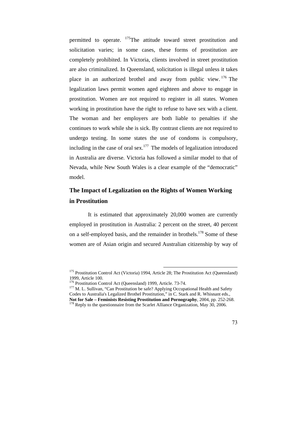permitted to operate.<sup>175</sup>The attitude toward street prostitution and solicitation varies; in some cases, these forms of prostitution are completely prohibited. In Victoria, clients involved in street prostitution are also criminalized. In Queensland, solicitation is illegal unless it takes place in an authorized brothel and away from public view. <sup>176</sup> The legalization laws permit women aged eighteen and above to engage in prostitution. Women are not required to register in all states. Women working in prostitution have the right to refuse to have sex with a client. The woman and her employers are both liable to penalties if she continues to work while she is sick. By contrast clients are not required to undergo testing. In some states the use of condoms is compulsory, including in the case of oral sex.<sup>177</sup> The models of legalization introduced in Australia are diverse. Victoria has followed a similar model to that of Nevada, while New South Wales is a clear example of the "democratic" model.

# **The Impact of Legalization on the Rights of Women Working in Prostitution**

It is estimated that approximately 20,000 women are currently employed in prostitution in Australia: 2 percent on the street, 40 percent on a self-employed basis, and the remainder in brothels.<sup>178</sup> Some of these women are of Asian origin and secured Australian citizenship by way of

<sup>175</sup> Prostitution Control Act (Victoria) 1994, Article 28; The Prostitution Act (Queensland) 1999, Article 100.

<sup>&</sup>lt;sup>176</sup> Prostitution Control Act (Queensland) 1999, Article. 73-74.

<sup>&</sup>lt;sup>177</sup> M. L. Sullivan, "Can Prostitution be safe? Applying Occupational Health and Safety Codes to Australia's Legalized Brothel Prostitution," in C. Stark and R. Whisnant eds., **Not for Sale – Feminists Resisting Prostitution and Pornography**, 2004, pp. 252-268.  $178$  Reply to the questionnaire from the Scarlet Alliance Organization, May 30, 2006.

<sup>73</sup>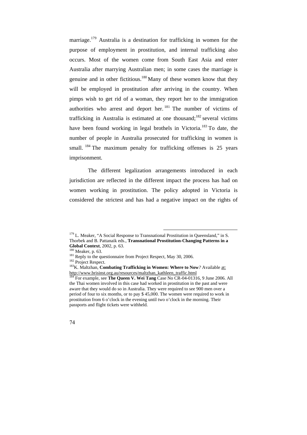marriage.<sup>179</sup> Australia is a destination for trafficking in women for the purpose of employment in prostitution, and internal trafficking also occurs. Most of the women come from South East Asia and enter Australia after marrying Australian men; in some cases the marriage is genuine and in other fictitious.<sup>180</sup> Many of these women know that they will be employed in prostitution after arriving in the country. When pimps wish to get rid of a woman, they report her to the immigration authorities who arrest and deport her.  $^{181}$  The number of victims of trafficking in Australia is estimated at one thousand;<sup>182</sup> several victims have been found working in legal brothels in Victoria.<sup>183</sup> To date, the number of people in Australia prosecuted for trafficking in women is small. <sup>184</sup> The maximum penalty for trafficking offenses is 25 years imprisonment.

The different legalization arrangements introduced in each jurisdiction are reflected in the different impact the process has had on women working in prostitution. The policy adopted in Victoria is considered the strictest and has had a negative impact on the rights of

<sup>&</sup>lt;sup>184</sup> For example, see **The Queen V. Wei Tang** Case No CR-04-01316, 9 June 2006. All the Thai women involved in this case had worked in prostitution in the past and were aware that they would do so in Australia. They were required to see 900 men over a period of four to six months, or to pay \$ 45,000. The women were required to work in prostitution from 6 o'clock in the evening until two o'clock in the morning. Their passports and flight tickets were withheld.



 $179$  L. Meaker, "A Social Response to Transnational Prostitution in Queensland," in S. Thorbek and B. Pattanaik eds., **Transnational Prostitution-Changing Patterns in a Global Context***,* 2002, p. 63.

 $180$  Meaker, p. 63.

<sup>&</sup>lt;sup>181</sup> Reply to the questionnaire from Project Respect, May 30, 2006.

<sup>182</sup> Project Respect.

<sup>&</sup>lt;sup>183</sup>K. Maltzhan, **Combating Trafficking in Women: Where to Now**? Available at: http://www.brisinst.org.au/resources/maltzhan\_kathleen\_traffic.html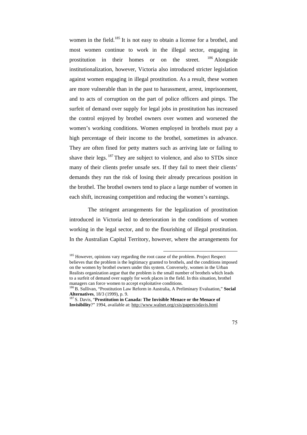women in the field.<sup>185</sup> It is not easy to obtain a license for a brothel, and most women continue to work in the illegal sector, engaging in prostitution in their homes or on the street. <sup>186</sup> Alongside institutionalization, however, Victoria also introduced stricter legislation against women engaging in illegal prostitution. As a result, these women are more vulnerable than in the past to harassment, arrest, imprisonment, and to acts of corruption on the part of police officers and pimps. The surfeit of demand over supply for legal jobs in prostitution has increased the control enjoyed by brothel owners over women and worsened the women's working conditions. Women employed in brothels must pay a high percentage of their income to the brothel, sometimes in advance. They are often fined for petty matters such as arriving late or failing to shave their legs.  $^{187}$  They are subject to violence, and also to STDs since many of their clients prefer unsafe sex. If they fail to meet their clients' demands they run the risk of losing their already precarious position in the brothel. The brothel owners tend to place a large number of women in each shift, increasing competition and reducing the women's earnings.

The stringent arrangements for the legalization of prostitution introduced in Victoria led to deterioration in the conditions of women working in the legal sector, and to the flourishing of illegal prostitution. In the Australian Capital Territory, however, where the arrangements for

<sup>&</sup>lt;sup>187</sup> S. Davis, "Prostitution in Canada: The Invisible Menace or the Menace of **Invisibility**?" 1994, available at: http://www.walnet.org/csis/papers/sdavis.html



<sup>&</sup>lt;sup>185</sup> However, opinions vary regarding the root cause of the problem. Project Respect believes that the problem is the legitimacy granted to brothels, and the conditions imposed on the women by brothel owners under this system. Conversely, women in the Urban Realists organization argue that the problem is the small number of brothels which leads to a surfeit of demand over supply for work places in the field. In this situation, brothel managers can force women to accept exploitative conditions.

<sup>186</sup> B. Sullivan, "Prostitution Law Reform in Australia, A Preliminary Evaluation," **Social Alternatives**, 18/3 (1999), p. 9.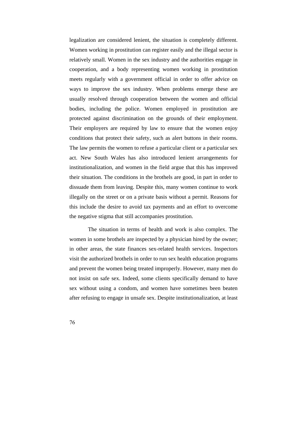legalization are considered lenient, the situation is completely different. Women working in prostitution can register easily and the illegal sector is relatively small. Women in the sex industry and the authorities engage in cooperation, and a body representing women working in prostitution meets regularly with a government official in order to offer advice on ways to improve the sex industry. When problems emerge these are usually resolved through cooperation between the women and official bodies, including the police. Women employed in prostitution are protected against discrimination on the grounds of their employment. Their employers are required by law to ensure that the women enjoy conditions that protect their safety, such as alert buttons in their rooms. The law permits the women to refuse a particular client or a particular sex act. New South Wales has also introduced lenient arrangements for institutionalization, and women in the field argue that this has improved their situation. The conditions in the brothels are good, in part in order to dissuade them from leaving. Despite this, many women continue to work illegally on the street or on a private basis without a permit. Reasons for this include the desire to avoid tax payments and an effort to overcome the negative stigma that still accompanies prostitution.

The situation in terms of health and work is also complex. The women in some brothels are inspected by a physician hired by the owner; in other areas, the state finances sex-related health services. Inspectors visit the authorized brothels in order to run sex health education programs and prevent the women being treated improperly. However, many men do not insist on safe sex. Indeed, some clients specifically demand to have sex without using a condom, and women have sometimes been beaten after refusing to engage in unsafe sex. Despite institutionalization, at least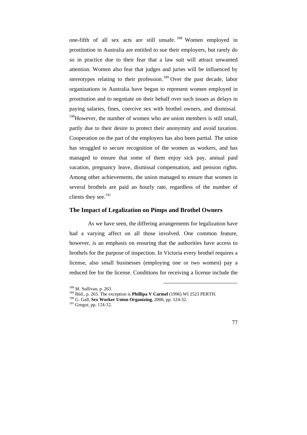one-fifth of all sex acts are still unsafe. <sup>188</sup> Women employed in prostitution in Australia are entitled to sue their employers, but rarely do so in practice due to their fear that a law suit will attract unwanted attention. Women also fear that judges and juries will be influenced by stereotypes relating to their profession.<sup>189</sup> Over the past decade, labor organizations in Australia have begun to represent women employed in prostitution and to negotiate on their behalf over such issues as delays in paying salaries, fines, coercive sex with brothel owners, and dismissal.

 $190$ However, the number of women who are union members is still small, partly due to their desire to protect their anonymity and avoid taxation. Cooperation on the part of the employers has also been partial. The union has struggled to secure recognition of the women as workers, and has managed to ensure that some of them enjoy sick pay, annual paid vacation, pregnancy leave, dismissal compensation, and pension rights. Among other achievements, the union managed to ensure that women in several brothels are paid an hourly rate, regardless of the number of clients they see.<sup>191</sup>

## **The Impact of Legalization on Pimps and Brothel Owners**

As we have seen, the differing arrangements for legalization have had a varying affect on all those involved. One common feature, however, is an emphasis on ensuring that the authorities have access to brothels for the purpose of inspection. In Victoria every brothel requires a license, also small businesses (employing one or two women) pay a reduced fee for the license. Conditions for receiving a license include the



<sup>188</sup> M. Sullivan, p. 263.

<sup>189</sup> Ibíd., p. 265. The exception is **Phillipa V Carmel** (1996) WI 2523 PERTH.

<sup>190</sup> G. Gall, **Sex Worker Union Organizing**, 2006, pp. 124-32.

<sup>&</sup>lt;sup>191</sup> Gregor, pp. 124-32.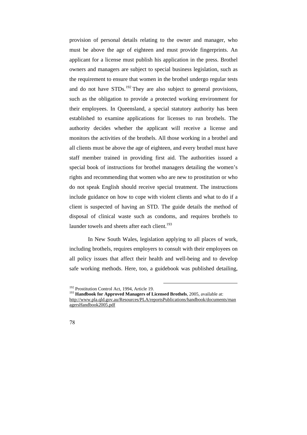provision of personal details relating to the owner and manager, who must be above the age of eighteen and must provide fingerprints. An applicant for a license must publish his application in the press. Brothel owners and managers are subject to special business legislation, such as the requirement to ensure that women in the brothel undergo regular tests and do not have  $STDs$ <sup>192</sup> They are also subject to general provisions, such as the obligation to provide a protected working environment for their employees. In Queensland, a special statutory authority has been established to examine applications for licenses to run brothels. The authority decides whether the applicant will receive a license and monitors the activities of the brothels. All those working in a brothel and all clients must be above the age of eighteen, and every brothel must have staff member trained in providing first aid. The authorities issued a special book of instructions for brothel managers detailing the women's rights and recommending that women who are new to prostitution or who do not speak English should receive special treatment. The instructions include guidance on how to cope with violent clients and what to do if a client is suspected of having an STD. The guide details the method of disposal of clinical waste such as condoms, and requires brothels to launder towels and sheets after each client.<sup>193</sup>

In New South Wales, legislation applying to all places of work, including brothels, requires employers to consult with their employees on all policy issues that affect their health and well-being and to develop safe working methods. Here, too, a guidebook was published detailing,



<sup>192</sup> Prostitution Control Act, 1994, Article 19.

<sup>&</sup>lt;sup>193</sup> Handbook for Approved Managers of Licensed Brothels, 2005, available at: http://www.pla.qld.gov.au/Resources/PLA/reportsPublications/handbook/documents/man agersHandbook2005.pdf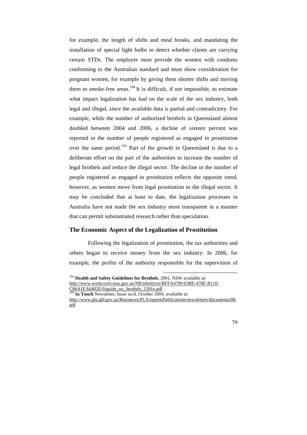for example, the length of shifts and meal breaks, and mandating the installation of special light bulbs to detect whether clients are carrying certain STDs. The employer must provide the women with condoms conforming to the Australian standard and must show consideration for pregnant women, for example by giving them shorter shifts and moving them to smoke-free areas.<sup>194</sup>It is difficult, if not impossible, to estimate what impact legalization has had on the scale of the sex industry, both legal and illegal, since the available data is partial and contradictory. For example, while the number of authorized brothels in Queensland almost doubled between 2004 and 2006, a decline of sixteen percent was reported in the number of people registered as engaged in prostitution over the same period.<sup>195</sup> Part of the growth in Queensland is due to a deliberate effort on the part of the authorities to increase the number of legal brothels and reduce the illegal sector. The decline in the number of people registered as engaged in prostitution reflects the opposite trend, however, as women move from legal prostitution to the illegal sector. It may be concluded that at least to date, the legalization processes in Australia have not made the sex industry more transparent in a manner that can permit substantiated research rather than speculation.

## **The Economic Aspect of the Legalization of Prostitution**

Following the legalization of prostitution, the tax authorities and others began to receive money from the sex industry. In 2006, for example, the profits of the authority responsible for the supervision of

<sup>194</sup> **Health and Safety Guidelines for Brothels***,* 2001, NSW available at:

http://www.workcover.nsw.gov.au/NR/rdonlyres/BFFA4789-E98E-478E-B110-

C86A1EA6402E/0/guide\_wc\_brothels\_1201e.pdf

<sup>&</sup>lt;sup>195</sup> In Touch Newsletter, Issue no.8, October 2004. available at:

http://www.pla.qld.gov.au/Resources/PLA/reportsPublications/newsletters/documents/08. pdf

<sup>79</sup>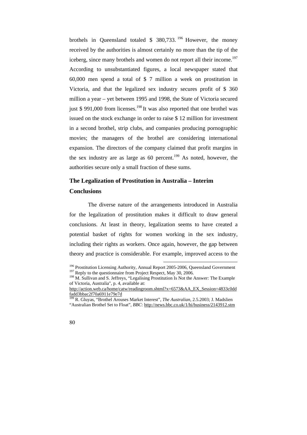brothels in Queensland totaled  $$380,733$ . <sup>196</sup> However, the money received by the authorities is almost certainly no more than the tip of the iceberg, since many brothels and women do not report all their income.<sup>197</sup> According to unsubstantiated figures, a local newspaper stated that 60,000 men spend a total of \$ 7 million a week on prostitution in Victoria, and that the legalized sex industry secures profit of \$ 360 million a year – yet between 1995 and 1998, the State of Victoria secured just  $$ 991,000$  from licenses.<sup>198</sup> It was also reported that one brothel was issued on the stock exchange in order to raise \$ 12 million for investment in a second brothel, strip clubs, and companies producing pornographic movies; the managers of the brothel are considering international expansion. The directors of the company claimed that profit margins in the sex industry are as large as  $60$  percent.<sup>199</sup> As noted, however, the authorities secure only a small fraction of these sums.

# **The Legalization of Prostitution in Australia – Interim Conclusions**

The diverse nature of the arrangements introduced in Australia for the legalization of prostitution makes it difficult to draw general conclusions. At least in theory, legalization seems to have created a potential basket of rights for women working in the sex industry, including their rights as workers. Once again, however, the gap between theory and practice is considerable. For example, improved access to the

<sup>199</sup> R. Gluyas, "Brothel Arouses Market Interest", *The Australian*, 2.5.2003; J. Madslien "Australian Brothel Set to Float", *BBC*: http://news.bbc.co.uk/1/hi/business/2143912.stm



<sup>&</sup>lt;sup>196</sup> Prostitution Licensing Authority, Annual Report 2005-2006, Queensland Government <sup>197</sup> Reply to the questionnaire from Project Respect, May 30, 2006.

<sup>&</sup>lt;sup>198</sup> M. Sullivan and S. Jeffreys, "Legalising Prostitution Is Not the Answer: The Example of Victoria, Australia", p. 4, available at:

http://action.web.ca/home/catw/readingroom.shtml?x=6573&AA\_EX\_Session=4833c0dd <u>fadd3bbac2f70a6911e79e7d</u>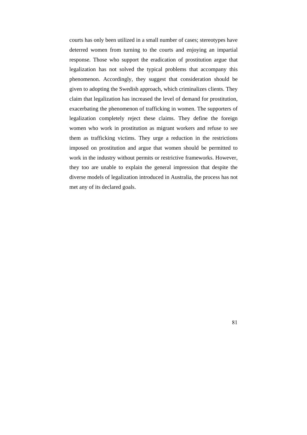courts has only been utilized in a small number of cases; stereotypes have deterred women from turning to the courts and enjoying an impartial response. Those who support the eradication of prostitution argue that legalization has not solved the typical problems that accompany this phenomenon. Accordingly, they suggest that consideration should be given to adopting the Swedish approach, which criminalizes clients. They claim that legalization has increased the level of demand for prostitution, exacerbating the phenomenon of trafficking in women. The supporters of legalization completely reject these claims. They define the foreign women who work in prostitution as migrant workers and refuse to see them as trafficking victims. They urge a reduction in the restrictions imposed on prostitution and argue that women should be permitted to work in the industry without permits or restrictive frameworks. However, they too are unable to explain the general impression that despite the diverse models of legalization introduced in Australia, the process has not met any of its declared goals.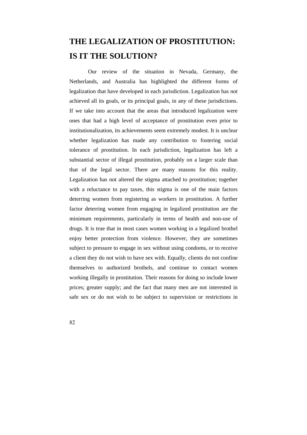# **THE LEGALIZATION OF PROSTITUTION: IS IT THE SOLUTION?**

Our review of the situation in Nevada, Germany, the Netherlands, and Australia has highlighted the different forms of legalization that have developed in each jurisdiction. Legalization has not achieved all its goals, or its principal goals, in any of these jurisdictions. If we take into account that the areas that introduced legalization were ones that had a high level of acceptance of prostitution even prior to institutionalization, its achievements seem extremely modest. It is unclear whether legalization has made any contribution to fostering social tolerance of prostitution. In each jurisdiction, legalization has left a substantial sector of illegal prostitution, probably on a larger scale than that of the legal sector. There are many reasons for this reality. Legalization has not altered the stigma attached to prostitution; together with a reluctance to pay taxes, this stigma is one of the main factors deterring women from registering as workers in prostitution. A further factor deterring women from engaging in legalized prostitution are the minimum requirements, particularly in terms of health and non-use of drugs. It is true that in most cases women working in a legalized brothel enjoy better protection from violence. However, they are sometimes subject to pressure to engage in sex without using condoms, or to receive a client they do not wish to have sex with. Equally, clients do not confine themselves to authorized brothels, and continue to contact women working illegally in prostitution. Their reasons for doing so include lower prices; greater supply; and the fact that many men are not interested in safe sex or do not wish to be subject to supervision or restrictions in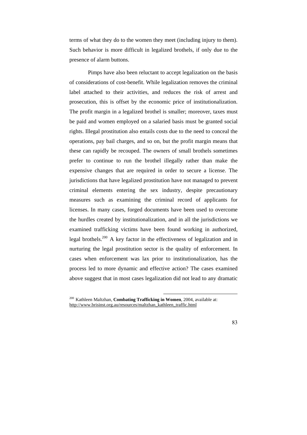terms of what they do to the women they meet (including injury to them). Such behavior is more difficult in legalized brothels, if only due to the presence of alarm buttons.

Pimps have also been reluctant to accept legalization on the basis of considerations of cost-benefit. While legalization removes the criminal label attached to their activities, and reduces the risk of arrest and prosecution, this is offset by the economic price of institutionalization. The profit margin in a legalized brothel is smaller; moreover, taxes must be paid and women employed on a salaried basis must be granted social rights. Illegal prostitution also entails costs due to the need to conceal the operations, pay bail charges, and so on, but the profit margin means that these can rapidly be recouped. The owners of small brothels sometimes prefer to continue to run the brothel illegally rather than make the expensive changes that are required in order to secure a license. The jurisdictions that have legalized prostitution have not managed to prevent criminal elements entering the sex industry, despite precautionary measures such as examining the criminal record of applicants for licenses. In many cases, forged documents have been used to overcome the hurdles created by institutionalization, and in all the jurisdictions we examined trafficking victims have been found working in authorized, legal brothels.<sup>200</sup> A key factor in the effectiveness of legalization and in nurturing the legal prostitution sector is the quality of enforcement. In cases when enforcement was lax prior to institutionalization, has the process led to more dynamic and effective action? The cases examined above suggest that in most cases legalization did not lead to any dramatic

<sup>200</sup> Kathleen Maltzhan, **Combating Trafficking in Women***,* 2004, available at: http://www.brisinst.org.au/resources/maltzhan\_kathleen\_traffic.html

<sup>83</sup>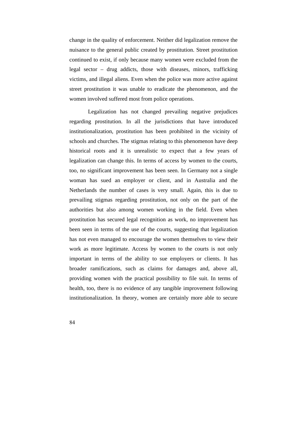change in the quality of enforcement. Neither did legalization remove the nuisance to the general public created by prostitution. Street prostitution continued to exist, if only because many women were excluded from the legal sector – drug addicts, those with diseases, minors, trafficking victims, and illegal aliens. Even when the police was more active against street prostitution it was unable to eradicate the phenomenon, and the women involved suffered most from police operations.

Legalization has not changed prevailing negative prejudices regarding prostitution. In all the jurisdictions that have introduced institutionalization, prostitution has been prohibited in the vicinity of schools and churches. The stigmas relating to this phenomenon have deep historical roots and it is unrealistic to expect that a few years of legalization can change this. In terms of access by women to the courts, too, no significant improvement has been seen. In Germany not a single woman has sued an employer or client, and in Australia and the Netherlands the number of cases is very small. Again, this is due to prevailing stigmas regarding prostitution, not only on the part of the authorities but also among women working in the field. Even when prostitution has secured legal recognition as work, no improvement has been seen in terms of the use of the courts, suggesting that legalization has not even managed to encourage the women themselves to view their work as more legitimate. Access by women to the courts is not only important in terms of the ability to sue employers or clients. It has broader ramifications, such as claims for damages and, above all, providing women with the practical possibility to file suit. In terms of health, too, there is no evidence of any tangible improvement following institutionalization. In theory, women are certainly more able to secure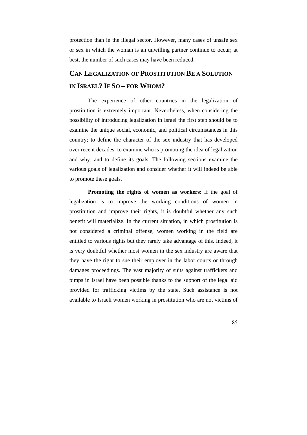protection than in the illegal sector. However, many cases of unsafe sex or sex in which the woman is an unwilling partner continue to occur; at best, the number of such cases may have been reduced.

# **CAN LEGALIZATION OF PROSTITUTION BE A SOLUTION IN ISRAEL? IF SO – FOR WHOM?**

The experience of other countries in the legalization of prostitution is extremely important. Nevertheless, when considering the possibility of introducing legalization in Israel the first step should be to examine the unique social, economic, and political circumstances in this country; to define the character of the sex industry that has developed over recent decades; to examine who is promoting the idea of legalization and why; and to define its goals. The following sections examine the various goals of legalization and consider whether it will indeed be able to promote these goals.

**Promoting the rights of women as workers**: If the goal of legalization is to improve the working conditions of women in prostitution and improve their rights, it is doubtful whether any such benefit will materialize. In the current situation, in which prostitution is not considered a criminal offense, women working in the field are entitled to various rights but they rarely take advantage of this. Indeed, it is very doubtful whether most women in the sex industry are aware that they have the right to sue their employer in the labor courts or through damages proceedings. The vast majority of suits against traffickers and pimps in Israel have been possible thanks to the support of the legal aid provided for trafficking victims by the state. Such assistance is not available to Israeli women working in prostitution who are not victims of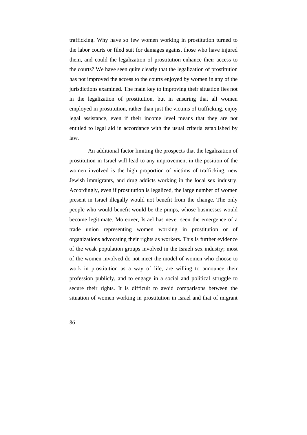trafficking. Why have so few women working in prostitution turned to the labor courts or filed suit for damages against those who have injured them, and could the legalization of prostitution enhance their access to the courts? We have seen quite clearly that the legalization of prostitution has not improved the access to the courts enjoyed by women in any of the jurisdictions examined. The main key to improving their situation lies not in the legalization of prostitution, but in ensuring that all women employed in prostitution, rather than just the victims of trafficking, enjoy legal assistance, even if their income level means that they are not entitled to legal aid in accordance with the usual criteria established by law.

An additional factor limiting the prospects that the legalization of prostitution in Israel will lead to any improvement in the position of the women involved is the high proportion of victims of trafficking, new Jewish immigrants, and drug addicts working in the local sex industry. Accordingly, even if prostitution is legalized, the large number of women present in Israel illegally would not benefit from the change. The only people who would benefit would be the pimps, whose businesses would become legitimate. Moreover, Israel has never seen the emergence of a trade union representing women working in prostitution or of organizations advocating their rights as workers. This is further evidence of the weak population groups involved in the Israeli sex industry; most of the women involved do not meet the model of women who choose to work in prostitution as a way of life, are willing to announce their profession publicly, and to engage in a social and political struggle to secure their rights. It is difficult to avoid comparisons between the situation of women working in prostitution in Israel and that of migrant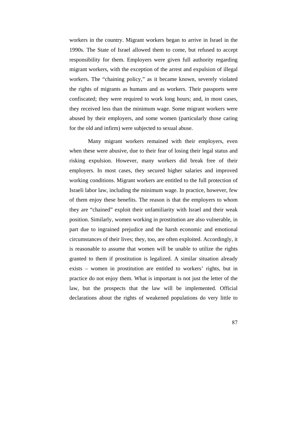workers in the country. Migrant workers began to arrive in Israel in the 1990s. The State of Israel allowed them to come, but refused to accept responsibility for them. Employers were given full authority regarding migrant workers, with the exception of the arrest and expulsion of illegal workers. The "chaining policy," as it became known, severely violated the rights of migrants as humans and as workers. Their passports were confiscated; they were required to work long hours; and, in most cases, they received less than the minimum wage. Some migrant workers were abused by their employers, and some women (particularly those caring for the old and infirm) were subjected to sexual abuse.

Many migrant workers remained with their employers, even when these were abusive, due to their fear of losing their legal status and risking expulsion. However, many workers did break free of their employers. In most cases, they secured higher salaries and improved working conditions. Migrant workers are entitled to the full protection of Israeli labor law, including the minimum wage. In practice, however, few of them enjoy these benefits. The reason is that the employers to whom they are "chained" exploit their unfamiliarity with Israel and their weak position. Similarly, women working in prostitution are also vulnerable, in part due to ingrained prejudice and the harsh economic and emotional circumstances of their lives; they, too, are often exploited. Accordingly, it is reasonable to assume that women will be unable to utilize the rights granted to them if prostitution is legalized. A similar situation already exists – women in prostitution are entitled to workers' rights, but in practice do not enjoy them. What is important is not just the letter of the law, but the prospects that the law will be implemented. Official declarations about the rights of weakened populations do very little to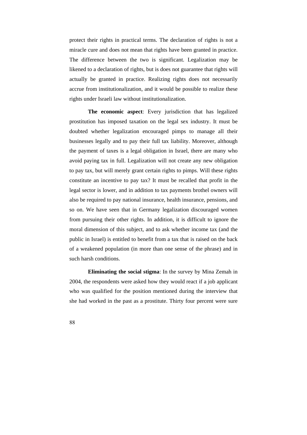protect their rights in practical terms. The declaration of rights is not a miracle cure and does not mean that rights have been granted in practice. The difference between the two is significant. Legalization may be likened to a declaration of rights, but is does not guarantee that rights will actually be granted in practice. Realizing rights does not necessarily accrue from institutionalization, and it would be possible to realize these rights under Israeli law without institutionalization.

**The economic aspect**: Every jurisdiction that has legalized prostitution has imposed taxation on the legal sex industry. It must be doubted whether legalization encouraged pimps to manage all their businesses legally and to pay their full tax liability. Moreover, although the payment of taxes is a legal obligation in Israel, there are many who avoid paying tax in full. Legalization will not create any new obligation to pay tax, but will merely grant certain rights to pimps. Will these rights constitute an incentive to pay tax? It must be recalled that profit in the legal sector is lower, and in addition to tax payments brothel owners will also be required to pay national insurance, health insurance, pensions, and so on. We have seen that in Germany legalization discouraged women from pursuing their other rights. In addition, it is difficult to ignore the moral dimension of this subject, and to ask whether income tax (and the public in Israel) is entitled to benefit from a tax that is raised on the back of a weakened population (in more than one sense of the phrase) and in such harsh conditions.

**Eliminating the social stigma**: In the survey by Mina Zemah in 2004, the respondents were asked how they would react if a job applicant who was qualified for the position mentioned during the interview that she had worked in the past as a prostitute. Thirty four percent were sure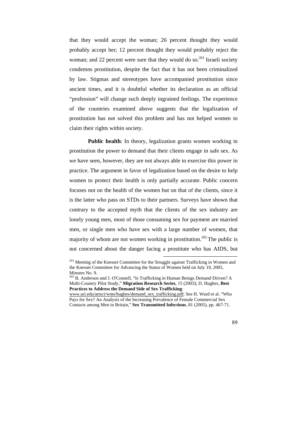that they would accept the woman; 26 percent thought they would probably accept her; 12 percent thought they would probably reject the woman; and 22 percent were sure that they would do so.<sup>201</sup> Israeli society condemns prostitution, despite the fact that it has not been criminalized by law. Stigmas and stereotypes have accompanied prostitution since ancient times, and it is doubtful whether its declaration as an official "profession" will change such deeply ingrained feelings. The experience of the countries examined above suggests that the legalization of prostitution has not solved this problem and has not helped women to claim their rights within society.

**Public health**: In theory, legalization grants women working in prostitution the power to demand that their clients engage in safe sex. As we have seen, however, they are not always able to exercise this power in practice. The argument in favor of legalization based on the desire to help women to protect their health is only partially accurate. Public concern focuses not on the health of the women but on that of the clients, since it is the latter who pass on STDs to their partners. Surveys have shown that contrary to the accepted myth that the clients of the sex industry are lonely young men, most of those consuming sex for payment are married men, or single men who have sex with a large number of women, that majority of whom are not women working in prostitution.<sup>202</sup> The public is not concerned about the danger facing a prostitute who has AIDS, but

<sup>&</sup>lt;sup>201</sup> Meeting of the Knesset Committee for the Struggle against Trafficking in Women and the Knesset Committee for Advancing the Status of Women held on July 19, 2005, Minutes No. 9.

<sup>&</sup>lt;sup>202</sup> B. Anderson and J. O'Connell, "Is Trafficking in Human Beings Demand Driven? A Multi-Country Pilot Study," **Migration Research Series**, 15 (2003); D. Hughes, **Best Practices to Address the Demand Side of Sex Trafficking**:

www.uri.edu/artsci/wms/hughes/demand\_sex\_trafficking.pdf; See H. Ward et al. "Who Pays for Sex? An Analysis of the Increasing Prevalence of Female Commercial Sex Contacts among Men in Britain," **Sex Transmitted Infections***,* 81 (2005), pp. 467-71.

<sup>89</sup>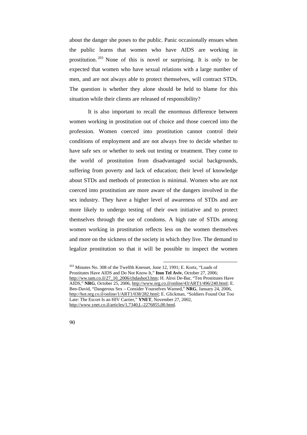about the danger she poses to the public. Panic occasionally ensues when the public learns that women who have AIDS are working in prostitution.  $203$  None of this is novel or surprising. It is only to be expected that women who have sexual relations with a large number of men, and are not always able to protect themselves, will contract STDs. The question is whether they alone should be held to blame for this situation while their clients are released of responsibility?

It is also important to recall the enormous difference between women working in prostitution out of choice and those coerced into the profession. Women coerced into prostitution cannot control their conditions of employment and are not always free to decide whether to have safe sex or whether to seek out testing or treatment. They come to the world of prostitution from disadvantaged social backgrounds, suffering from poverty and lack of education; their level of knowledge about STDs and methods of protection is minimal. Women who are not coerced into prostitution are more aware of the dangers involved in the sex industry. They have a higher level of awareness of STDs and are more likely to undergo testing of their own initiative and to protect themselves through the use of condoms. A high rate of STDs among women working in prostitution reflects less on the women themselves and more on the sickness of the society in which they live. The demand to legalize prostitution so that it will be possible to inspect the women



<sup>&</sup>lt;sup>203</sup> Minutes No. 308 of the Twelfth Knesset, June 12, 1991; E. Kortz, "Loads of Prostitutes Have AIDS and Do Not Know It," **Iton Tel Aviv**, October 27, 2006; http://ww.tam.co.il/27\_10\_2006/chdashot3.htm; H. Alroi De-Bar, "Ten Prostitutes Have AIDS," **NRG***,* October 25, 2006, http://www.nrg.co.il/online/43/ART1/496/240.html; E. Ben-David, "Dangerous Sex – Consider Yourselves Warned," **NRG**, January 24, 2006, http://hot.nrg.co.il/online/1/ART1/038/282.html; E. Glickman, "Soldiers Found Out Too Late: The Escort Is an HIV Carrier," **YNET**, November 27, 2002, http://www.ynet.co.il/articles/1,7340,L-2276855,00.html.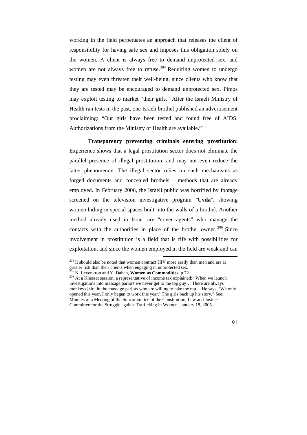working in the field perpetuates an approach that releases the client of responsibility for having safe sex and imposes this obligation solely on the women. A client is always free to demand unprotected sex, and women are not always free to refuse.<sup>204</sup> Requiring women to undergo testing may even threaten their well-being, since clients who know that they are tested may be encouraged to demand unprotected sex. Pimps may exploit testing to market "their girls." After the Israeli Ministry of Health ran tests in the past, one Israeli brothel published an advertisement proclaiming: "Our girls have been tested and found free of AIDS. Authorizations from the Ministry of Health are available."<sup>205</sup>

**Transparency preventing criminals entering prostitution**: Experience shows that a legal prostitution sector does not eliminate the parallel presence of illegal prostitution, and may not even reduce the latter phenomenon. The illegal sector relies on such mechanisms as forged documents and concealed brothels – methods that are already employed. In February 2006, the Israeli public was horrified by footage screened on the television investigative program *"***Uvda***"*, showing women hiding in special spaces built into the walls of a brothel. Another method already used in Israel are "cover agents" who manage the contacts with the authorities in place of the brothel owner.<sup>206</sup> Since involvement in prostitution is a field that is rife with possibilities for exploitation, and since the women employed in the field are weak and can

<sup>&</sup>lt;sup>204</sup> It should also be noted that women contract HIV more easily than men and are at greater risk than their clients when engaging in unprotected sex.

N. Levenkron and Y. Dahan, **Women as Commodities**, p 72.

<sup>206</sup> At a Knesset session, a representative of income tax explained: "When we launch investigations into massage parlors we never get to the top guy… There are always monkeys [sic] in the massage parlors who are willing to take the rap… He says, 'We only opened this year, I only began to work this year.' The girls back up his story." See: Minutes of a Meeting of the Subcommittee of the Constitution, Law and Justice Committee for the Struggle against Trafficking in Women, January 18, 2005.

<sup>91</sup>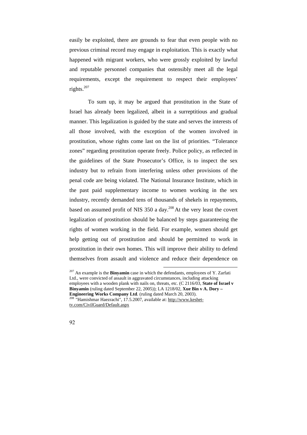easily be exploited, there are grounds to fear that even people with no previous criminal record may engage in exploitation. This is exactly what happened with migrant workers, who were grossly exploited by lawful and reputable personnel companies that ostensibly meet all the legal requirements, except the requirement to respect their employees' rights.<sup>207</sup>

To sum up, it may be argued that prostitution in the State of Israel has already been legalized, albeit in a surreptitious and gradual manner. This legalization is guided by the state and serves the interests of all those involved, with the exception of the women involved in prostitution, whose rights come last on the list of priorities. "Tolerance zones" regarding prostitution operate freely. Police policy, as reflected in the guidelines of the State Prosecutor's Office, is to inspect the sex industry but to refrain from interfering unless other provisions of the penal code are being violated. The National Insurance Institute, which in the past paid supplementary income to women working in the sex industry, recently demanded tens of thousands of shekels in repayments, based on assumed profit of NIS  $350$  a day.<sup>208</sup> At the very least the covert legalization of prostitution should be balanced by steps guaranteeing the rights of women working in the field. For example, women should get help getting out of prostitution and should be permitted to work in prostitution in their own homes. This will improve their ability to defend themselves from assault and violence and reduce their dependence on

tv.com/CivilGuard/Default.aspx



<sup>207</sup> An example is the **Binyamin** case in which the defendants, employees of Y. Zarfati Ltd., were convicted of assault in aggravated circumstances, including attacking employees with a wooden plank with nails on, threats, etc. (C 2116/03, **State of Israel v Binyamin** (ruling dated September 22, 2005)); LA 1218/02, **Xue Bin v A. Dory – Engineering Works Company Ltd**. (ruling dated March 20, 2003).<br><sup>208</sup> "Hamisha" M. Company Ltd. (ruling dated March 20, 2003). "Hamishmar Haezrachi", 17.5.2007, available at: http://www.keshet-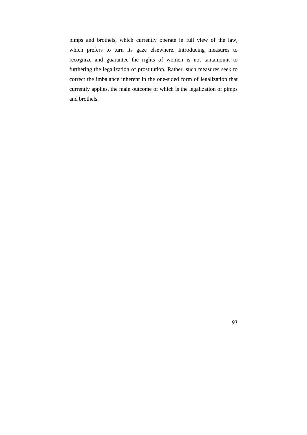pimps and brothels, which currently operate in full view of the law, which prefers to turn its gaze elsewhere. Introducing measures to recognize and guarantee the rights of women is not tantamount to furthering the legalization of prostitution. Rather, such measures seek to correct the imbalance inherent in the one-sided form of legalization that currently applies, the main outcome of which is the legalization of pimps and brothels.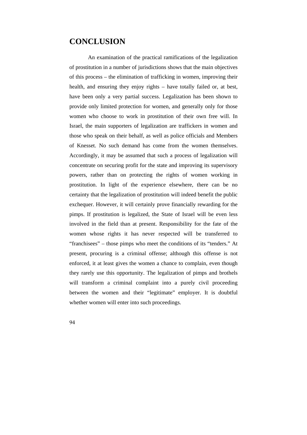# **CONCLUSION**

An examination of the practical ramifications of the legalization of prostitution in a number of jurisdictions shows that the main objectives of this process – the elimination of trafficking in women, improving their health, and ensuring they enjoy rights – have totally failed or, at best, have been only a very partial success. Legalization has been shown to provide only limited protection for women, and generally only for those women who choose to work in prostitution of their own free will. In Israel, the main supporters of legalization are traffickers in women and those who speak on their behalf, as well as police officials and Members of Knesset. No such demand has come from the women themselves. Accordingly, it may be assumed that such a process of legalization will concentrate on securing profit for the state and improving its supervisory powers, rather than on protecting the rights of women working in prostitution. In light of the experience elsewhere, there can be no certainty that the legalization of prostitution will indeed benefit the public exchequer. However, it will certainly prove financially rewarding for the pimps. If prostitution is legalized, the State of Israel will be even less involved in the field than at present. Responsibility for the fate of the women whose rights it has never respected will be transferred to "franchisees" – those pimps who meet the conditions of its "tenders." At present, procuring is a criminal offense; although this offense is not enforced, it at least gives the women a chance to complain, even though they rarely use this opportunity. The legalization of pimps and brothels will transform a criminal complaint into a purely civil proceeding between the women and their "legitimate" employer. It is doubtful whether women will enter into such proceedings.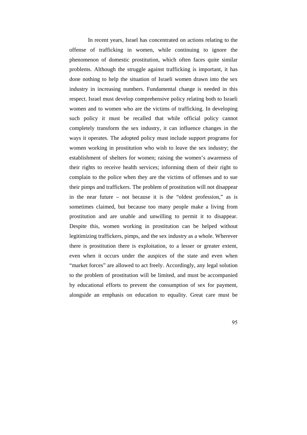In recent years, Israel has concentrated on actions relating to the offense of trafficking in women, while continuing to ignore the phenomenon of domestic prostitution, which often faces quite similar problems. Although the struggle against trafficking is important, it has done nothing to help the situation of Israeli women drawn into the sex industry in increasing numbers. Fundamental change is needed in this respect. Israel must develop comprehensive policy relating both to Israeli women and to women who are the victims of trafficking. In developing such policy it must be recalled that while official policy cannot completely transform the sex industry, it can influence changes in the ways it operates. The adopted policy must include support programs for women working in prostitution who wish to leave the sex industry; the establishment of shelters for women; raising the women's awareness of their rights to receive health services; informing them of their right to complain to the police when they are the victims of offenses and to sue their pimps and traffickers. The problem of prostitution will not disappear in the near future – not because it is the "oldest profession," as is sometimes claimed, but because too many people make a living from prostitution and are unable and unwilling to permit it to disappear. Despite this, women working in prostitution can be helped without legitimizing traffickers, pimps, and the sex industry as a whole. Wherever there is prostitution there is exploitation, to a lesser or greater extent, even when it occurs under the auspices of the state and even when "market forces" are allowed to act freely. Accordingly, any legal solution to the problem of prostitution will be limited, and must be accompanied by educational efforts to prevent the consumption of sex for payment, alongside an emphasis on education to equality. Great care must be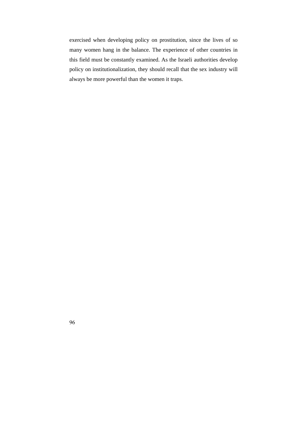exercised when developing policy on prostitution, since the lives of so many women hang in the balance. The experience of other countries in this field must be constantly examined. As the Israeli authorities develop policy on institutionalization, they should recall that the sex industry will always be more powerful than the women it traps.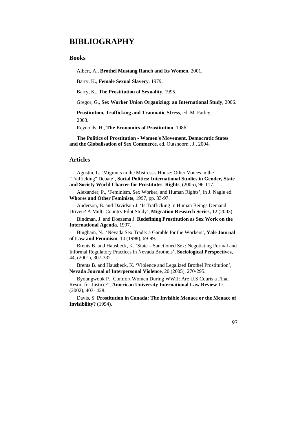# **BIBLIOGRAPHY**

#### **Books**

Albert, A., **Brothel Mustang Ranch and Its Women**, 2001.

Barry, K., **Female Sexual Slavery**, 1979.

Barry, K., **The Prostitution of Sexuality**, 1995.

Gregor, G., **Sex Worker Union Organizing: an International Study**, 2006.

**Prostitution, Trafficking and Traumatic Stress**, ed. M. Farley, 2003.

Reynolds, H., **The Economics of Prostitution**, 1986.

**The Politics of Prostitution - Women's Movement, Democratic States and the Globalisation of Sex Commerce**, ed. Outshoorn . J., 2004.

## **Articles**

Agustin, L. 'Migrants in the Mistress's House: Other Voices in the "Trafficking" Debate', **Social Politics: International Studies in Gender, State and Society World Charter for Prostitutes' Rights**, (2005), 96-117.

Alexander, P., 'Feminism, Sex Worker, and Human Rights', in J. Nagle ed. **Whores and Other Feminists**, 1997, pp. 83-97.

Anderson, B. and Davidson J. 'Is Trafficking in Human Beings Demand Driven? A Multi-Country Pilot Study', **Migration Research Series,** 12 (2003).

Bindman, J. and Doezema J. **Redefining Prostitution as Sex Work on the International Agenda***,* 1997.

Bingham, N., 'Nevada Sex Trade: a Gamble for the Workers', **Yale Journal of Law and Feminism**, 10 (1998), 69-99.

Brents B. and Hausbeck, K. 'State – Sanctioned Sex: Negotiating Formal and Informal Regulatory Practices in Nevada Brothels', **Sociological Perspectives**, 44, (2001), 307-332.

Brents B. and Hausbeck, K. 'Violence and Legalized Brothel Prostitution', **Nevada Journal of Interpersonal Violence**, 20 (2005), 270-295.

Byoungwook P. 'Comfort Women During WWII: Are U.S Courts a Final Resort for Justice?', **American University International Law Review** 17 (2002), 403- 428.

Davis, S. **Prostitution in Canada: The Invisible Menace or the Menace of Invisibility?** (1994).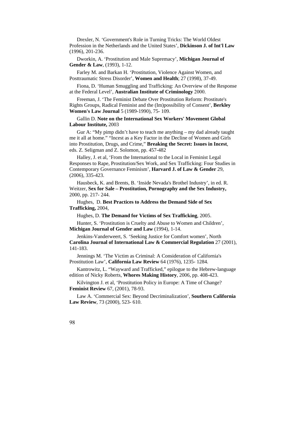Drexler, N. 'Government's Role in Turning Tricks: The World Oldest Profession in the Netherlands and the United States', **Dickinson J. of Int'l Law** (1996), 201-236.

Dworkin, A. 'Prostitution and Male Supremacy', **Michigan Journal of Gender & Law**, (1993), 1-12.

Farley M. and Barkan H. 'Prostitution, Violence Against Women, and Posttraumatic Stress Disorder', **Women and Health**; 27 (1998), 37-49.

Fiona, D. 'Human Smuggling and Trafficking: An Overview of the Response at the Federal Level', **Australian Institute of Criminology** 2000.

Freeman, J. 'The Feminist Debate Over Prostitution Reform: Prostitute's Rights Groups, Radical Feminist and the (Im)possibility of Consent', **Berkley Women's Law Journal** 5 (1989-1990), 75- 109.

Gallin D. **Note on the International Sex Workers' Movement Global Labour Institute,** 2003

Gur A: "My pimp didn't have to teach me anything – my dad already taught me it all at home." "Incest as a Key Factor in the Decline of Women and Girls into Prostitution, Drugs, and Crime," **Breaking the Secret: Issues in Incest**, eds. Z. Seligman and Z. Solomon, pp. 457-482

Halley, J. et al, 'From the International to the Local in Feminist Legal Responses to Rape, Prostitution/Sex Work, and Sex Trafficking: Four Studies in Contemporary Governance Feminism', **Harvard J. of Law & Gender** 29, (2006), 335-423.

Hausbeck, K. and Brents, B. 'Inside Nevada's Brothel Industry', in ed. R. Weitzer, **Sex for Sale – Prostitution, Pornography and the Sex Industry,** 2000, pp. 217- 244.

Hughes, D. **Best Practices to Address the Demand Side of Sex Trafficking,** 2004,

Hughes, D. **The Demand for Victims of Sex Trafficking**, 2005.

Hunter, S. 'Prostitution is Cruelty and Abuse to Women and Children', **Michigan Journal of Gender and Law** (1994), 1-14.

Jenkins-Vanderweert, S. 'Seeking Justice for Comfort women', North **Carolina Journal of International Law & Commercial Regulation** 27 (2001), 141-183.

Jennings M. 'The Victim as Criminal: A Consideration of California's Prostitution Law', **California Law Review** 64 (1976), 1235- 1284.

Kantrowitz, L. "Wayward and Trafficked," epilogue to the Hebrew-language edition of Nicky Roberts, **Whores Making History**, 2006, pp. 408-423.

Kilvington J. et al, 'Prostitution Policy in Europe: A Time of Change? **Feminist Review** 67, (2001), 78-93.

Law A. 'Commercial Sex: Beyond Decriminalization', **Southern California Law Review**, 73 (2000), 523- 610.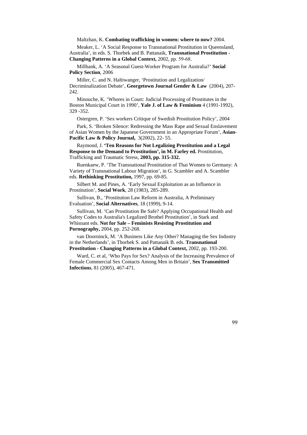Maltzhan, K. **Combating trafficking in women: where to now?** 2004.

Meaker, L. 'A Social Response to Transnational Prostitution in Queensland, Australia', in eds. S. Thorbek and B. Pattanaik, **Transnational Prostitution - Changing Patterns in a Global Context,** 2002, pp. 59-68.

Millbank, A. 'A Seasonal Guest-Worker Program for Australia?' **Social Policy Section**, 2006

Miller, C. and N. Haltiwanger, 'Prostitution and Legalization/ Decriminalization Debate', **Georgetown Journal Gender & Law** (2004), 207- 242.

Minouche, K. 'Whores in Court: Judicial Processing of Prostitutes in the Boston Municipal Court in 1990', **Yale J. of Law & Feminism** 4 (1991-1992), 329 -352.

Ostergren, P. 'Sex workers Critique of Swedish Prostitution Policy', 2004

Park, S. 'Broken Silence: Redressing the Mass Rape and Sexual Enslavement of Asian Women by the Japanese Government in an Appropriate Forum', **Asian-Pacific Law & Policy Journal,** 3(2002), 22- 55.

Raymond, J. **'Ten Reasons for Not Legalizing Prostitution and a Legal Response to the Demand to Prostitution', in M. Farley ed.** Prostitution, Trafficking and Traumatic Stress, **2003, pp. 315-332.** 

Ruenkaew, P. 'The Transnational Prostitution of Thai Women to Germany: A Variety of Transnational Labour Migration', in G. Scambler and A. Scambler eds. **Rethinking Prostitution,** 1997, pp. 69-85.

Silbert M. and Pines, A. 'Early Sexual Exploitation as an Influence in Prostitution', **Social Work**, 28 (1983), 285-289.

Sullivan, B., 'Prostitution Law Reform in Australia, A Preliminary Evaluation', **Social Alternatives**, 18 (1999), 9-14.

Sullivan, M. 'Can Prostitution Be Safe? Applying Occupational Health and Safety Codes to Australia's Legalized Brothel Prostitution', in Stark and Whisnant eds. **Not for Sale – Feminists Resisting Prostitution and Pornography,** 2004, pp. 252-268.

van Doorninck, M. 'A Business Like Any Other? Managing the Sex Industry in the Netherlands', in Thorbek S. and Pattanaik B. eds. **Transnational Prostitution** - **Changing Patterns in a Global Context,** 2002, pp. 193-200.

Ward, C. et al, 'Who Pays for Sex? Analysis of the Increasing Prevalence of Female Commercial Sex Contacts Among Men in Britain', **Sex Transmitted Infections**, 81 (2005), 467-471.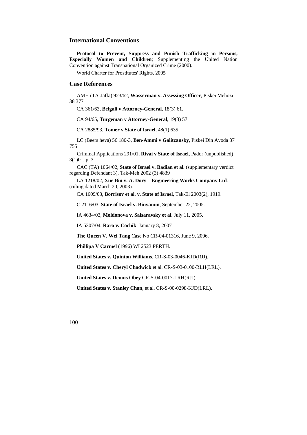## **International Conventions**

**Protocol to Prevent, Suppress and Punish Trafficking in Persons, Especially Women and Children**; Supplementing the United Nation Convention against Transnational Organized Crime (2000).

World Charter for Prostitutes' Rights, 2005

#### **Case References**

AMH (TA-Jaffa) 923/62, **Wasserman v. Assessing Officer***,* Piskei Mehozi 38 377

CA 361/63, **Belgali v Attorney-General**, 18(3) 61.

CA 94/65, **Turgeman v Attorney-General**, 19(3) 57

CA 2885/93, **Tomer v State of Israel**, 48(1) 635

LC (Beers heva) 56 180-3, **Ben-Ammi v Galitzansky**, Piskei Din Avoda 37 755

Criminal Applications 291/01, **Rivai v State of Israel**, Pador (unpublished) 3(1)01, p. 3

CAC (TA) 1064/02, **State of Israel v. Badian et al***.* (supplementary verdict regarding Defendant 3), Tak-Meh 2002 (3) 4839

LA 1218/02, **Xue Bin v. A. Dory – Engineering Works Company Ltd***.*  (ruling dated March 20, 2003).

CA 1609/03, **Borrisov et al. v. State of Israel**, Tak-El 2003(2), 1919.

C 2116/03, **State of Israel v. Binyamin**, September 22, 2005.

IA 4634/03, **Moldonova v. Salsaravsky et al***.* July 11, 2005.

IA 5307/04, **Raro v. Cochik**, January 8, 2007

**The Queen V. Wei Tang** Case No CR-04-01316, June 9, 2006.

**Phillipa V Carmel** (1996) WI 2523 PERTH.

**United States v. Quinton Williams**, CR-S-03-0046-KJD(RJJ).

**United States v. Cheryl Chadwick** et al. CR-S-03-0100-RLH(LRL).

**United States v. Dennis Obey** CR-S-04-0017-LRH(RJJ).

**United States v. Stanley Chan**, et al. CR-S-00-0298-KJD(LRL).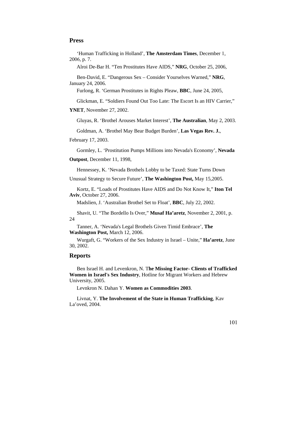#### **Press**

'Human Trafficking in Holland', **The Amsterdam Times**, December 1, 2006, p. 7.

Alroi De-Bar H. "Ten Prostitutes Have AIDS," **NRG***,* October 25, 2006,

Ben-David, E. "Dangerous Sex – Consider Yourselves Warned," **NRG**, January 24, 2006.

Furlong, R. 'German Prostitutes in Rights Pleaw, **BBC**, June 24, 2005,

Glickman, E. "Soldiers Found Out Too Late: The Escort Is an HIV Carrier,"

**YNET**, November 27, 2002.

Gluyas, R. 'Brothel Arouses Market Interest', **The Australian**, May 2, 2003.

Goldman, A. 'Brothel May Bear Budget Burden', **Las Vegas Rev. J.**,

February 17, 2003.

Gormley, L. 'Prostitution Pumps Millions into Nevada's Economy', **Nevada** 

**Outpost**, December 11, 1998,

Hennessey, K. 'Nevada Brothels Lobby to be Taxed: State Turns Down

Unusual Strategy to Secure Future', **The Washington Post,** May 15,2005.

Kortz, E. "Loads of Prostitutes Have AIDS and Do Not Know It," **Iton Tel Aviv**, October 27, 2006.

Madslien, J. 'Australian Brothel Set to Float', **BBC**, July 22, 2002.

Shavit, U. "The Bordello Is Over," **Musaf Ha'aretz**, November 2, 2001, p.  $24$ 

Tanner, A. 'Nevada's Legal Brothels Given Timid Embrace', **The Washington Post,** March 12, 2006.

Wurgaft, G. "Workers of the Sex Industry in Israel – Unite," **Ha'aretz**, June 30, 2002.

### **Reports**

Ben Israel H. and Levenkron, N. T**he Missing Factor- Clients of Trafficked Women in Israel's Sex Industry**, Hotline for Migrant Workers and Hebrew University, 2005.

Levnkron N. Dahan Y. **Women as Commodities 2003**.

Livnat, Y. **The Involvement of the State in Human Trafficking**, Kav La'oved, 2004.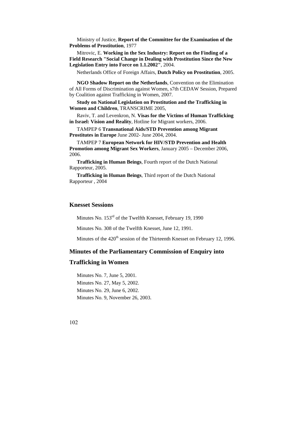Ministry of Justice, **Report of the Committee for the Examination of the Problems of Prostitution**, 1977

Mitrovic, E. **Working in the Sex Industry**: **Report on the Finding of a Field Research "Social Change in Dealing with Prostitution Since the New Legislation Entry into Force on 1.1.2002"**, 2004.

Netherlands Office of Foreign Affairs, **Dutch Policy on Prostitution***,* 2005.

**NGO Shadow Report on the Netherlands**, Convention on the Elimination of All Forms of Discrimination against Women, s7th CEDAW Session, Prepared by Coalition against Trafficking in Women, 2007.

**Study on National Legislation on Prostitution and the Trafficking in Women and Children**, TRANSCRIME 2005,

Raviv, T. and Levenkron, N. **Visas for the Victims of Human Trafficking in Israel: Vision and Reality**, Hotline for Migrant workers, 2006.

TAMPEP 6 **Transnational Aids/STD Prevention among Migrant Prostitutes in Europe** June 2002- June 2004, 2004.

TAMPEP 7 **European Network for HIV/STD Prevention and Health Promotion among Migrant Sex Workers**, January 2005 – December 2006, 2006.

**Trafficking in Human Beings**, Fourth report of the Dutch National Rapporteur, 2005.

**Trafficking in Human Beings**, Third report of the Dutch National Rapporteur , 2004

### **Knesset Sessions**

Minutes No. 153<sup>rd</sup> of the Twelfth Knesset, February 19, 1990

Minutes No. 308 of the Twelfth Knesset, June 12, 1991.

Minutes of the 420<sup>th</sup> session of the Thirteenth Knesset on February 12, 1996.

### **Minutes of the Parliamentary Commission of Enquiry into**

### **Trafficking in Women**

Minutes No. 7, June 5, 2001. Minutes No. 27, May 5, 2002. Minutes No. 29, June 6, 2002. Minutes No. 9, November 26, 2003.